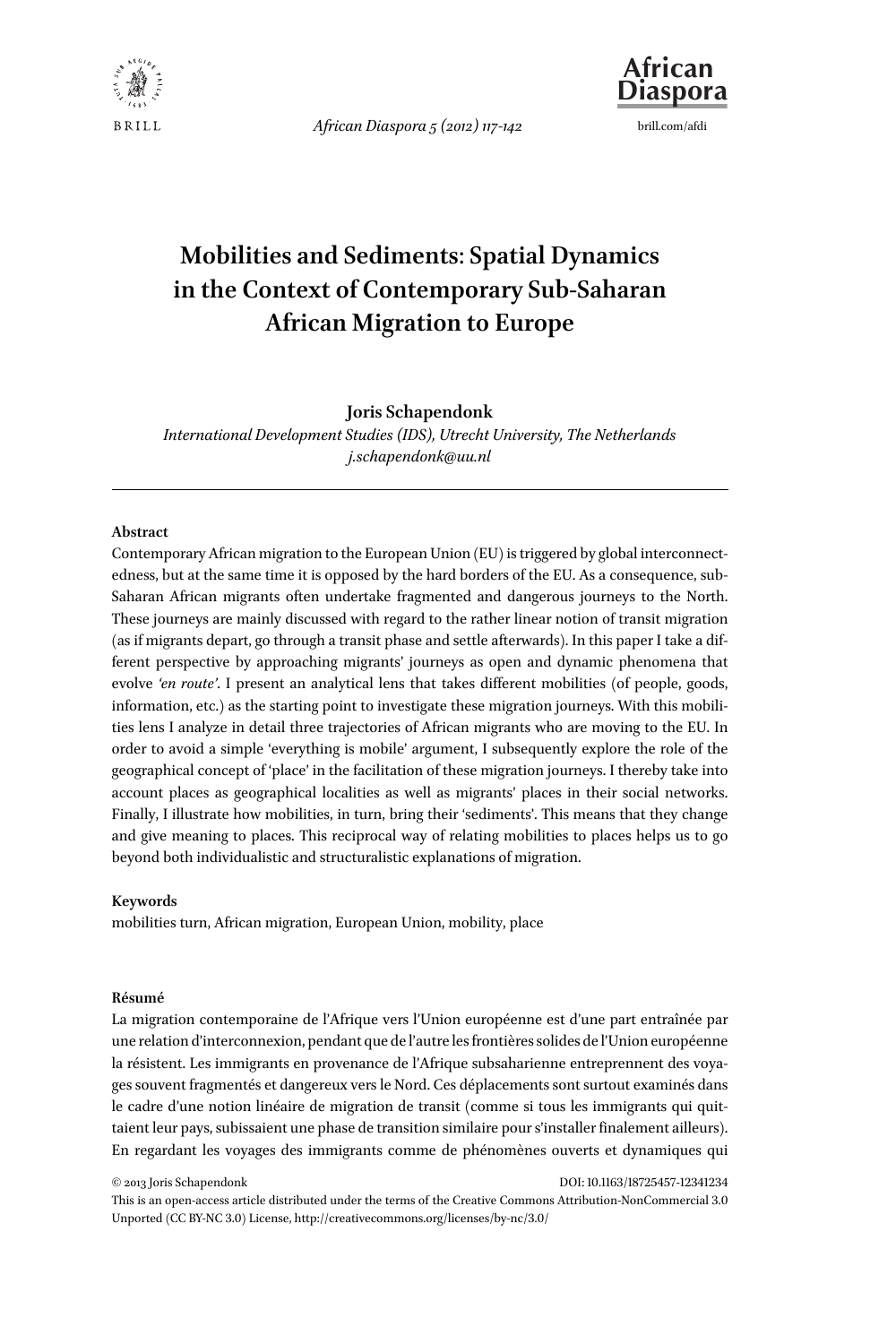

*African Diaspora 5 (2012) 117-142* brill.com/afdi



# **Mobilities and Sediments**: **Spatial Dynamics in the Context of Contemporary Sub-Saharan African Migration to Europe**

#### **Joris Schapendonk**

*International Development Studies (IDS), Utrecht University, The Netherlands j.schapendonk@uu.nl*

#### **Abstract**

Contemporary African migration to the European Union (EU) is triggered by global interconnectedness, but at the same time it is opposed by the hard borders of the EU. As a consequence, sub-Saharan African migrants often undertake fragmented and dangerous journeys to the North. These journeys are mainly discussed with regard to the rather linear notion of transit migration (as if migrants depart, go through a transit phase and settle afterwards). In this paper I take a different perspective by approaching migrants' journeys as open and dynamic phenomena that evolve *'en route'*. I present an analytical lens that takes different mobilities (of people, goods, information, etc.) as the starting point to investigate these migration journeys. With this mobilities lens I analyze in detail three trajectories of African migrants who are moving to the EU. In order to avoid a simple 'everything is mobile' argument, I subsequently explore the role of the geographical concept of 'place' in the facilitation of these migration journeys. I thereby take into account places as geographical localities as well as migrants' places in their social networks. Finally, I illustrate how mobilities, in turn, bring their 'sediments'. This means that they change and give meaning to places. This reciprocal way of relating mobilities to places helps us to go beyond both individualistic and structuralistic explanations of migration.

#### **Keywords**

mobilities turn, African migration, European Union, mobility, place

#### **Résumé**

La migration contemporaine de l'Afrique vers l'Union européenne est d'une part entraînée par une relation d'interconnexion, pendant que de l'autre les frontières solides de l'Union européenne la résistent. Les immigrants en provenance de l'Afrique subsaharienne entreprennent des voyages souvent fragmentés et dangereux vers le Nord. Ces déplacements sont surtout examinés dans le cadre d'une notion linéaire de migration de transit (comme si tous les immigrants qui quittaient leur pays, subissaient une phase de transition similaire pour s'installer finalement ailleurs). En regardant les voyages des immigrants comme de phénomènes ouverts et dynamiques qui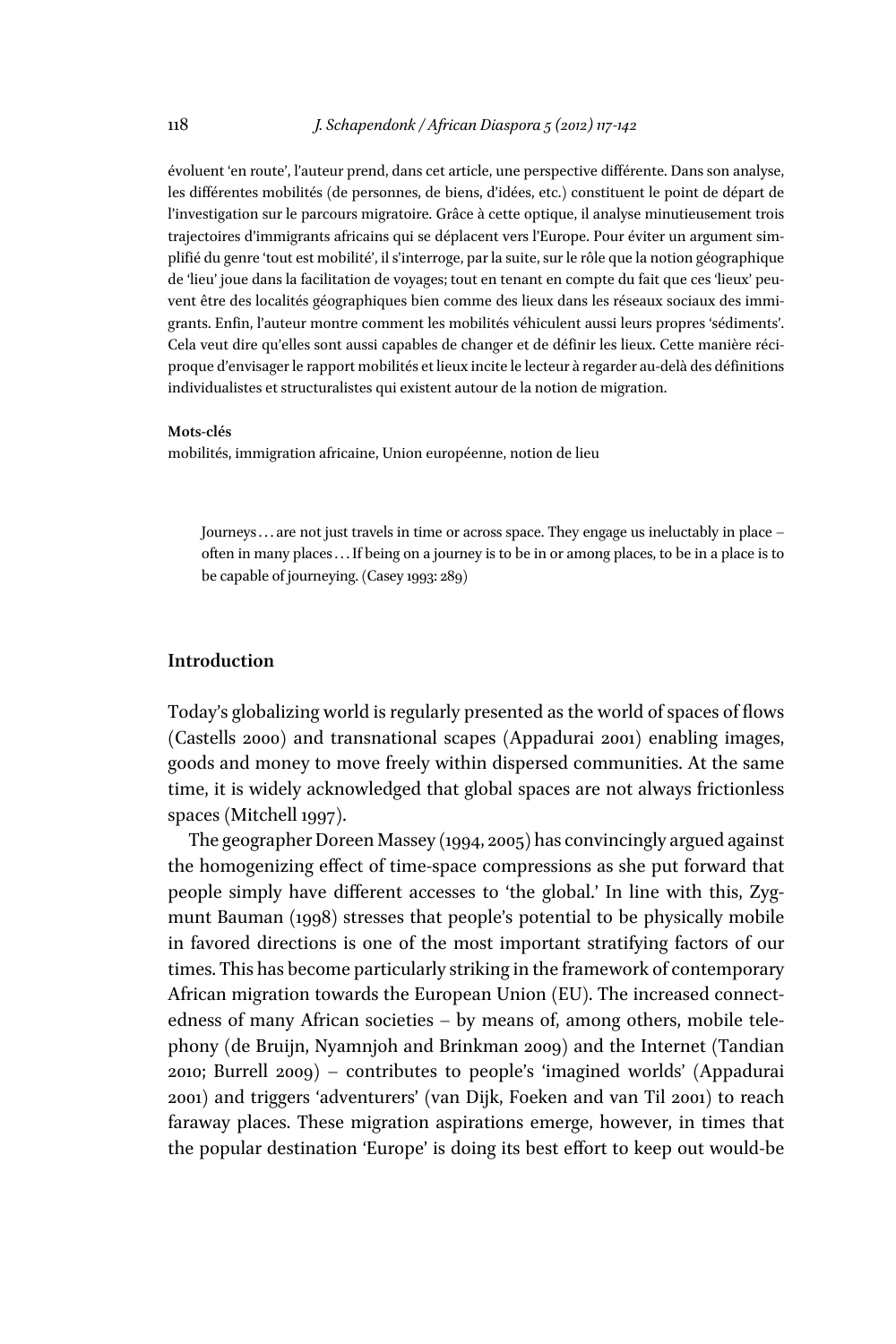évoluent 'en route', l'auteur prend, dans cet article, une perspective différente. Dans son analyse, les différentes mobilités (de personnes, de biens, d'idées, etc.) constituent le point de départ de l'investigation sur le parcours migratoire. Grâce à cette optique, il analyse minutieusement trois trajectoires d'immigrants africains qui se déplacent vers l'Europe. Pour éviter un argument simplifié du genre 'tout est mobilité', il s'interroge, par la suite, sur le rôle que la notion géographique de 'lieu' joue dans la facilitation de voyages; tout en tenant en compte du fait que ces 'lieux' peuvent être des localités géographiques bien comme des lieux dans les réseaux sociaux des immigrants. Enfin, l'auteur montre comment les mobilités véhiculent aussi leurs propres 'sédiments'. Cela veut dire qu'elles sont aussi capables de changer et de définir les lieux. Cette manière réciproque d'envisager le rapport mobilités et lieux incite le lecteur à regarder au-delà des définitions individualistes et structuralistes qui existent autour de la notion de migration.

#### **Mots-clés**

mobilités, immigration africaine, Union européenne, notion de lieu

Journeys . . . are not just travels in time or across space. They engage us ineluctably in place – often in many places . . . If being on a journey is to be in or among places, to be in a place is to be capable of journeying. (Casey 1993: 289)

## **Introduction**

Today's globalizing world is regularly presented as the world of spaces of flows (Castells 2000) and transnational scapes (Appadurai 2001) enabling images, goods and money to move freely within dispersed communities. At the same time, it is widely acknowledged that global spaces are not always frictionless spaces (Mitchell 1997).

The geographer Doreen Massey (1994, 2005) has convincingly argued against the homogenizing effect of time-space compressions as she put forward that people simply have diffferent accesses to 'the global.' In line with this, Zygmunt Bauman (1998) stresses that people's potential to be physically mobile in favored directions is one of the most important stratifying factors of our times. This has become particularly striking in the framework of contemporary African migration towards the European Union (EU). The increased connectedness of many African societies – by means of, among others, mobile telephony (de Bruijn, Nyamnjoh and Brinkman 2009) and the Internet (Tandian 2010; Burrell 2009) – contributes to people's 'imagined worlds' (Appadurai 2001) and triggers 'adventurers' (van Dijk, Foeken and van Til 2001) to reach faraway places. These migration aspirations emerge, however, in times that the popular destination 'Europe' is doing its best efffort to keep out would-be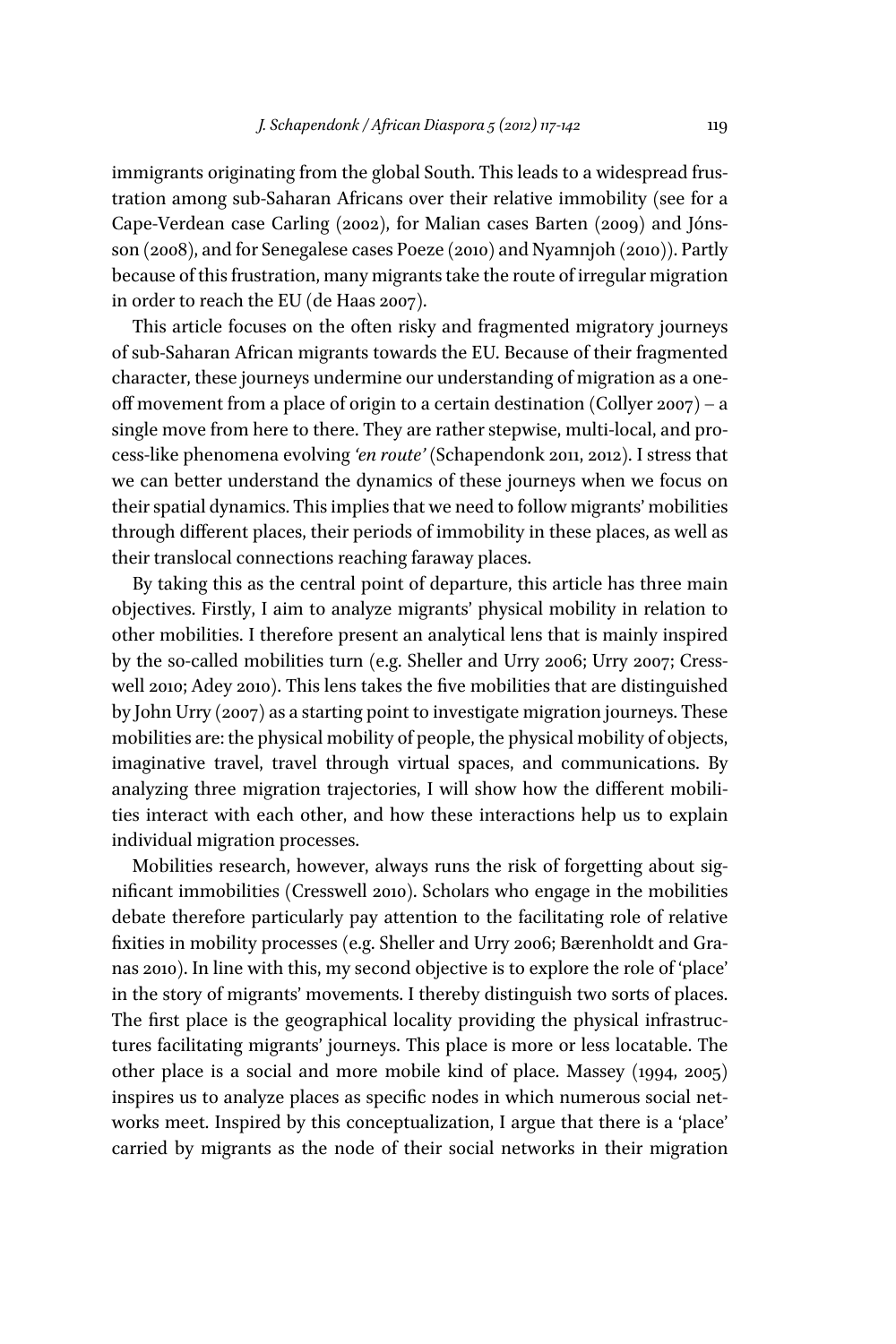immigrants originating from the global South. This leads to a widespread frustration among sub-Saharan Africans over their relative immobility (see for a Cape-Verdean case Carling (2002), for Malian cases Barten (2009) and Jónsson (2008), and for Senegalese cases Poeze (2010) and Nyamnjoh (2010)). Partly because of this frustration, many migrants take the route of irregular migration in order to reach the EU (de Haas 2007).

This article focuses on the often risky and fragmented migratory journeys of sub-Saharan African migrants towards the EU. Because of their fragmented character, these journeys undermine our understanding of migration as a oneoff movement from a place of origin to a certain destination (Collyer  $2007$ ) – a single move from here to there. They are rather stepwise, multi-local, and process-like phenomena evolving *'en route'* (Schapendonk 2011, 2012). I stress that we can better understand the dynamics of these journeys when we focus on their spatial dynamics. This implies that we need to follow migrants' mobilities through diffferent places, their periods of immobility in these places, as well as their translocal connections reaching faraway places.

By taking this as the central point of departure, this article has three main objectives. Firstly, I aim to analyze migrants' physical mobility in relation to other mobilities. I therefore present an analytical lens that is mainly inspired by the so-called mobilities turn (e.g. Sheller and Urry 2006; Urry 2007; Cresswell 2010; Adey 2010). This lens takes the five mobilities that are distinguished by John Urry (2007) as a starting point to investigate migration journeys. These mobilities are: the physical mobility of people, the physical mobility of objects, imaginative travel, travel through virtual spaces, and communications. By analyzing three migration trajectories, I will show how the different mobilities interact with each other, and how these interactions help us to explain individual migration processes.

Mobilities research, however, always runs the risk of forgetting about significant immobilities (Cresswell 2010). Scholars who engage in the mobilities debate therefore particularly pay attention to the facilitating role of relative fixities in mobility processes (e.g. Sheller and Urry 2006; Bærenholdt and Granas 2010). In line with this, my second objective is to explore the role of 'place' in the story of migrants' movements. I thereby distinguish two sorts of places. The first place is the geographical locality providing the physical infrastructures facilitating migrants' journeys. This place is more or less locatable. The other place is a social and more mobile kind of place. Massey (1994, 2005) inspires us to analyze places as specific nodes in which numerous social networks meet. Inspired by this conceptualization, I argue that there is a 'place' carried by migrants as the node of their social networks in their migration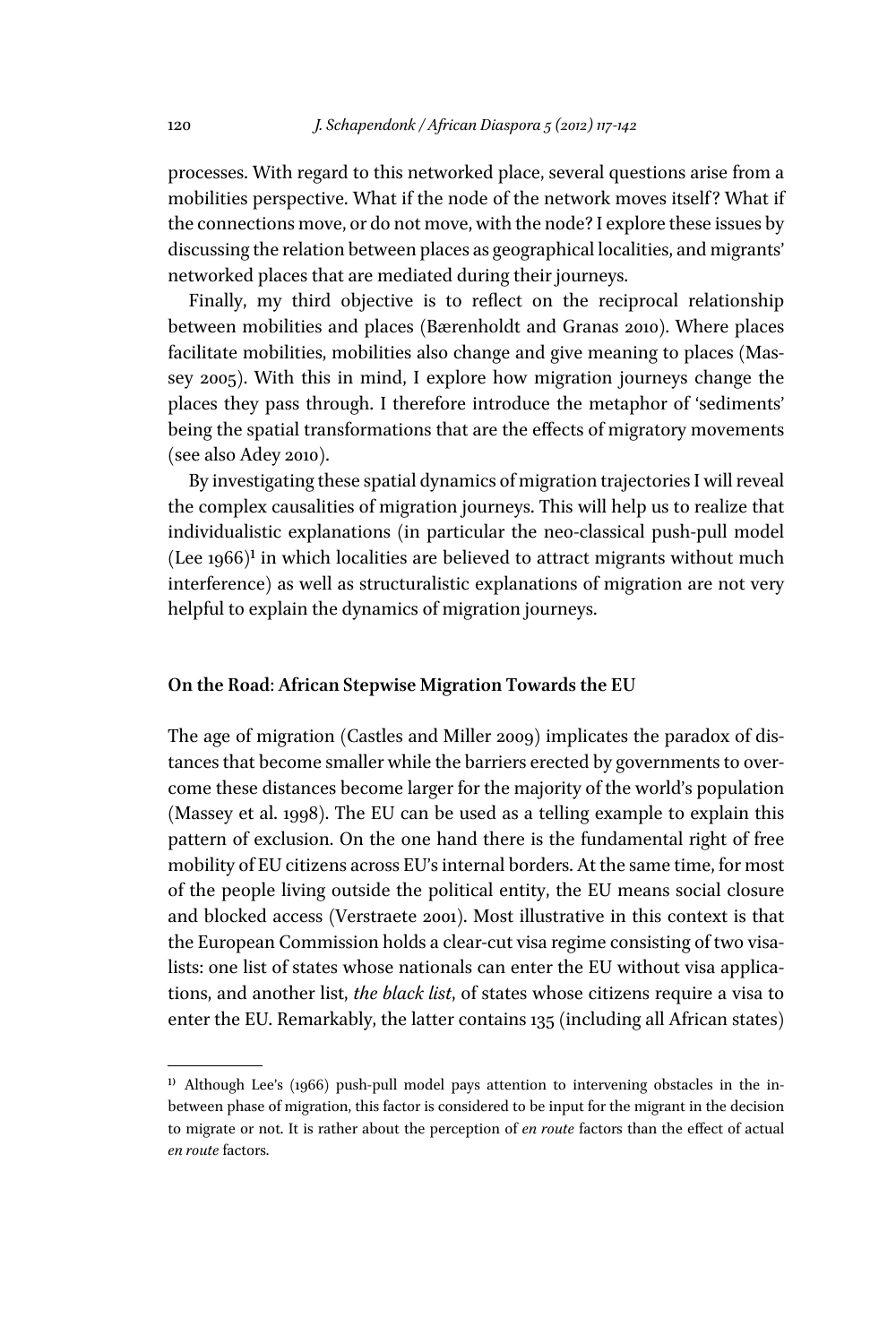processes. With regard to this networked place, several questions arise from a mobilities perspective. What if the node of the network moves itself? What if the connections move, or do not move, with the node? I explore these issues by discussing the relation between places as geographical localities, and migrants' networked places that are mediated during their journeys.

Finally, my third objective is to reflect on the reciprocal relationship between mobilities and places (Bærenholdt and Granas 2010). Where places facilitate mobilities, mobilities also change and give meaning to places (Massey 2005). With this in mind, I explore how migration journeys change the places they pass through. I therefore introduce the metaphor of 'sediments' being the spatial transformations that are the effects of migratory movements (see also Adey 2010).

By investigating these spatial dynamics of migration trajectories I will reveal the complex causalities of migration journeys. This will help us to realize that individualistic explanations (in particular the neo-classical push-pull model (Lee  $1966$ )<sup>1</sup> in which localities are believed to attract migrants without much interference) as well as structuralistic explanations of migration are not very helpful to explain the dynamics of migration journeys.

## **On the Road**: **African Stepwise Migration Towards the EU**

The age of migration (Castles and Miller 2009) implicates the paradox of distances that become smaller while the barriers erected by governments to overcome these distances become larger for the majority of the world's population (Massey et al. 1998). The EU can be used as a telling example to explain this pattern of exclusion. On the one hand there is the fundamental right of free mobility of EU citizens across EU's internal borders. At the same time, for most of the people living outside the political entity, the EU means social closure and blocked access (Verstraete 2001). Most illustrative in this context is that the European Commission holds a clear-cut visa regime consisting of two visalists: one list of states whose nationals can enter the EU without visa applications, and another list, *the black list*, of states whose citizens require a visa to enter the EU. Remarkably, the latter contains 135 (including all African states)

 $1)$  Although Lee's (1966) push-pull model pays attention to intervening obstacles in the inbetween phase of migration, this factor is considered to be input for the migrant in the decision to migrate or not. It is rather about the perception of *en route* factors than the efffect of actual *en route* factors.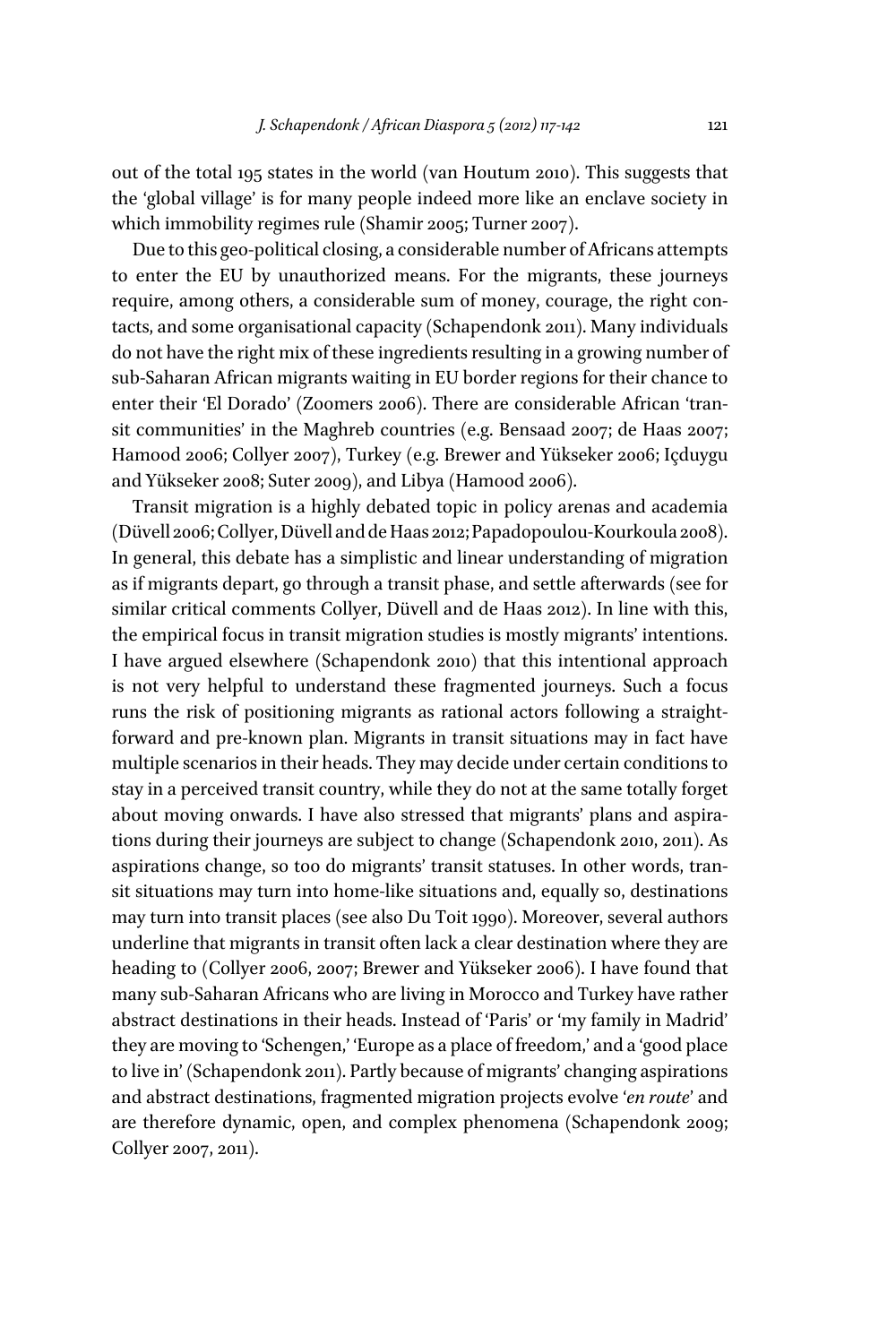out of the total 195 states in the world (van Houtum 2010). This suggests that the 'global village' is for many people indeed more like an enclave society in which immobility regimes rule (Shamir 2005; Turner 2007).

Due to this geo-political closing, a considerable number of Africans attempts to enter the EU by unauthorized means. For the migrants, these journeys require, among others, a considerable sum of money, courage, the right contacts, and some organisational capacity (Schapendonk 2011). Many individuals do not have the right mix of these ingredients resulting in a growing number of sub-Saharan African migrants waiting in EU border regions for their chance to enter their 'El Dorado' (Zoomers 2006). There are considerable African 'transit communities' in the Maghreb countries (e.g. Bensaad 2007; de Haas 2007; Hamood 2006; Collyer 2007), Turkey (e.g. Brewer and Yükseker 2006; Içduygu and Yükseker 2008; Suter 2009), and Libya (Hamood 2006).

Transit migration is a highly debated topic in policy arenas and academia (Düvell 2006; Collyer, Düvell and de Haas 2012; Papadopoulou-Kourkoula 2008). In general, this debate has a simplistic and linear understanding of migration as if migrants depart, go through a transit phase, and settle afterwards (see for similar critical comments Collyer, Düvell and de Haas 2012). In line with this, the empirical focus in transit migration studies is mostly migrants' intentions. I have argued elsewhere (Schapendonk 2010) that this intentional approach is not very helpful to understand these fragmented journeys. Such a focus runs the risk of positioning migrants as rational actors following a straightforward and pre-known plan. Migrants in transit situations may in fact have multiple scenarios in their heads. They may decide under certain conditions to stay in a perceived transit country, while they do not at the same totally forget about moving onwards. I have also stressed that migrants' plans and aspirations during their journeys are subject to change (Schapendonk 2010, 2011). As aspirations change, so too do migrants' transit statuses. In other words, transit situations may turn into home-like situations and, equally so, destinations may turn into transit places (see also Du Toit 1990). Moreover, several authors underline that migrants in transit often lack a clear destination where they are heading to (Collyer 2006, 2007; Brewer and Yükseker 2006). I have found that many sub-Saharan Africans who are living in Morocco and Turkey have rather abstract destinations in their heads. Instead of 'Paris' or 'my family in Madrid' they are moving to 'Schengen,' 'Europe as a place of freedom,' and a 'good place to live in' (Schapendonk 2011). Partly because of migrants' changing aspirations and abstract destinations, fragmented migration projects evolve '*en route*' and are therefore dynamic, open, and complex phenomena (Schapendonk 2009; Collyer 2007, 2011).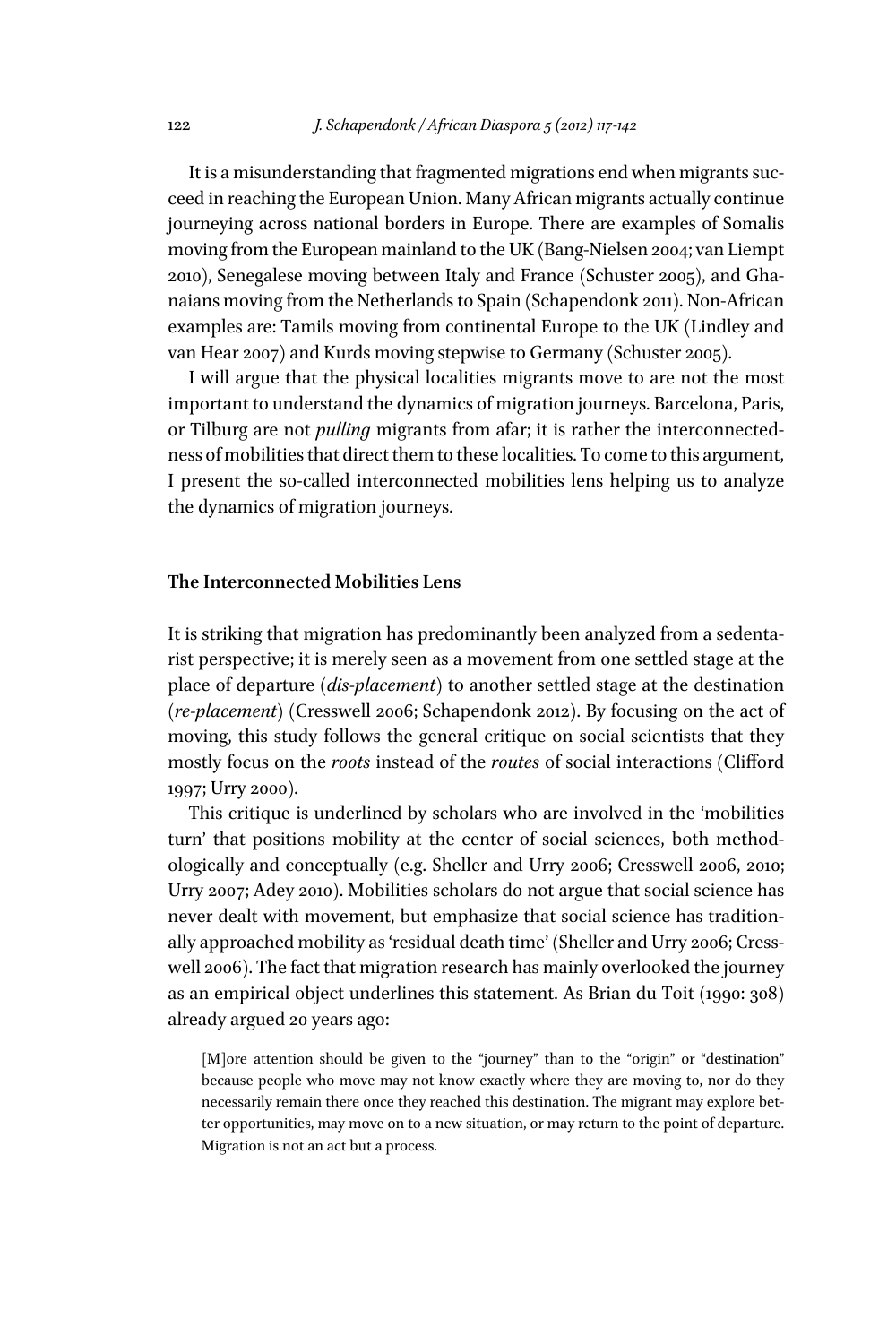It is a misunderstanding that fragmented migrations end when migrants succeed in reaching the European Union. Many African migrants actually continue journeying across national borders in Europe. There are examples of Somalis moving from the European mainland to the UK (Bang-Nielsen 2004; van Liempt 2010), Senegalese moving between Italy and France (Schuster 2005), and Ghanaians moving from the Netherlands to Spain (Schapendonk 2011). Non-African examples are: Tamils moving from continental Europe to the UK (Lindley and van Hear 2007) and Kurds moving stepwise to Germany (Schuster 2005).

I will argue that the physical localities migrants move to are not the most important to understand the dynamics of migration journeys. Barcelona, Paris, or Tilburg are not *pulling* migrants from afar; it is rather the interconnectedness of mobilities that direct them to these localities. To come to this argument, I present the so-called interconnected mobilities lens helping us to analyze the dynamics of migration journeys.

#### **The Interconnected Mobilities Lens**

It is striking that migration has predominantly been analyzed from a sedentarist perspective; it is merely seen as a movement from one settled stage at the place of departure (*dis-placement*) to another settled stage at the destination (*re-placement*) (Cresswell 2006; Schapendonk 2012). By focusing on the act of moving, this study follows the general critique on social scientists that they mostly focus on the *roots* instead of the *routes* of social interactions (Cliffford 1997; Urry 2000).

This critique is underlined by scholars who are involved in the 'mobilities turn' that positions mobility at the center of social sciences, both methodologically and conceptually (e.g. Sheller and Urry 2006; Cresswell 2006, 2010; Urry 2007; Adey 2010). Mobilities scholars do not argue that social science has never dealt with movement, but emphasize that social science has traditionally approached mobility as 'residual death time' (Sheller and Urry 2006; Cresswell 2006). The fact that migration research has mainly overlooked the journey as an empirical object underlines this statement. As Brian du Toit (1990: 308) already argued 20 years ago:

[M]ore attention should be given to the "journey" than to the "origin" or "destination" because people who move may not know exactly where they are moving to, nor do they necessarily remain there once they reached this destination. The migrant may explore better opportunities, may move on to a new situation, or may return to the point of departure. Migration is not an act but a process.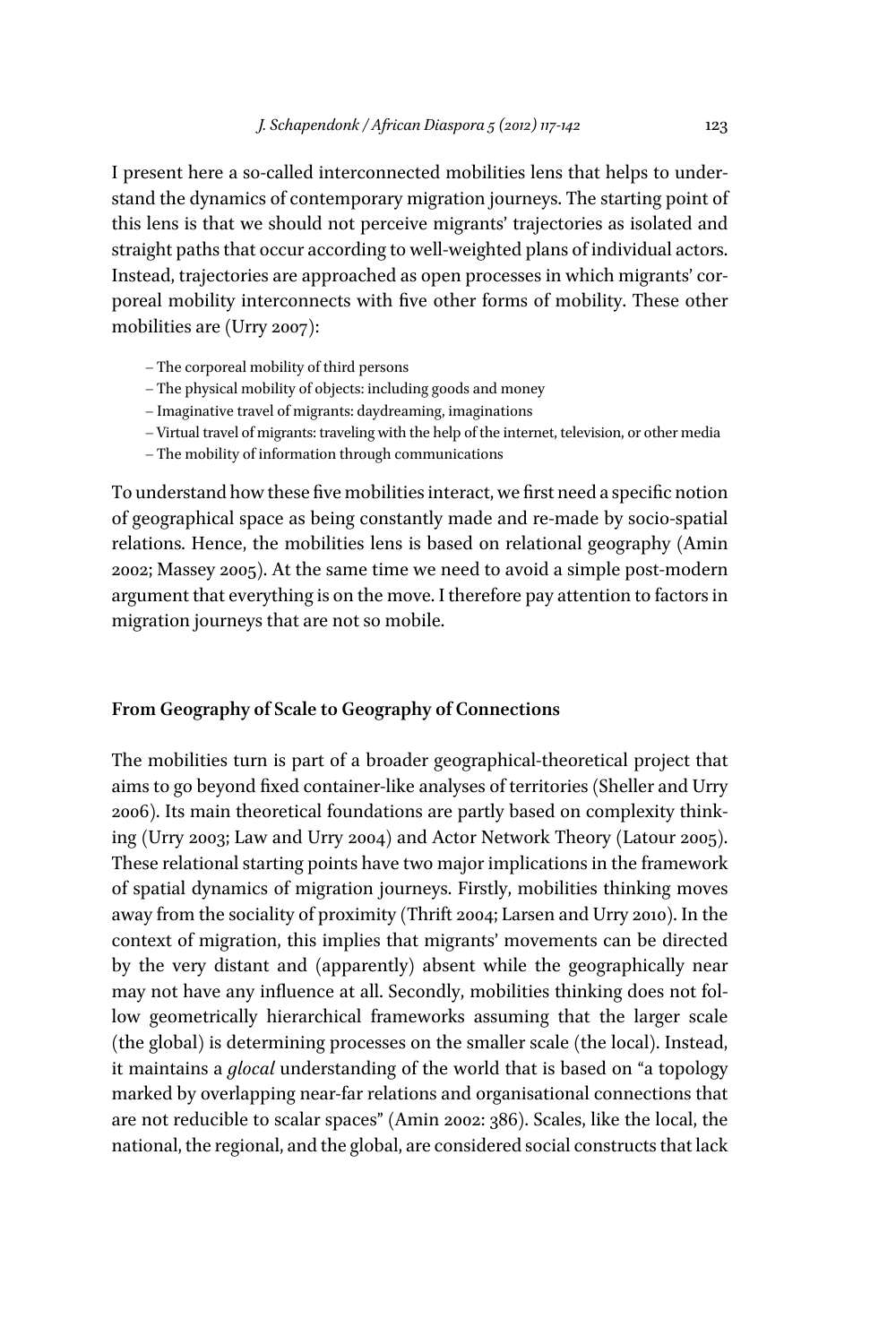I present here a so-called interconnected mobilities lens that helps to understand the dynamics of contemporary migration journeys. The starting point of this lens is that we should not perceive migrants' trajectories as isolated and straight paths that occur according to well-weighted plans of individual actors. Instead, trajectories are approached as open processes in which migrants' corporeal mobility interconnects with five other forms of mobility. These other mobilities are (Urry 2007):

- The corporeal mobility of third persons
- The physical mobility of objects: including goods and money
- Imaginative travel of migrants: daydreaming, imaginations
- Virtual travel of migrants: traveling with the help of the internet, television, or other media
- The mobility of information through communications

To understand how these five mobilities interact, we first need a specific notion of geographical space as being constantly made and re-made by socio-spatial relations. Hence, the mobilities lens is based on relational geography (Amin 2002; Massey 2005). At the same time we need to avoid a simple post-modern argument that everything is on the move. I therefore pay attention to factors in migration journeys that are not so mobile.

## **From Geography of Scale to Geography of Connections**

The mobilities turn is part of a broader geographical-theoretical project that aims to go beyond fixed container-like analyses of territories (Sheller and Urry 2006). Its main theoretical foundations are partly based on complexity thinking (Urry 2003; Law and Urry 2004) and Actor Network Theory (Latour 2005). These relational starting points have two major implications in the framework of spatial dynamics of migration journeys. Firstly, mobilities thinking moves away from the sociality of proximity (Thrift 2004; Larsen and Urry 2010). In the context of migration, this implies that migrants' movements can be directed by the very distant and (apparently) absent while the geographically near may not have any influence at all. Secondly, mobilities thinking does not follow geometrically hierarchical frameworks assuming that the larger scale (the global) is determining processes on the smaller scale (the local). Instead, it maintains a *glocal* understanding of the world that is based on "a topology marked by overlapping near-far relations and organisational connections that are not reducible to scalar spaces" (Amin 2002: 386). Scales, like the local, the national, the regional, and the global, are considered social constructs that lack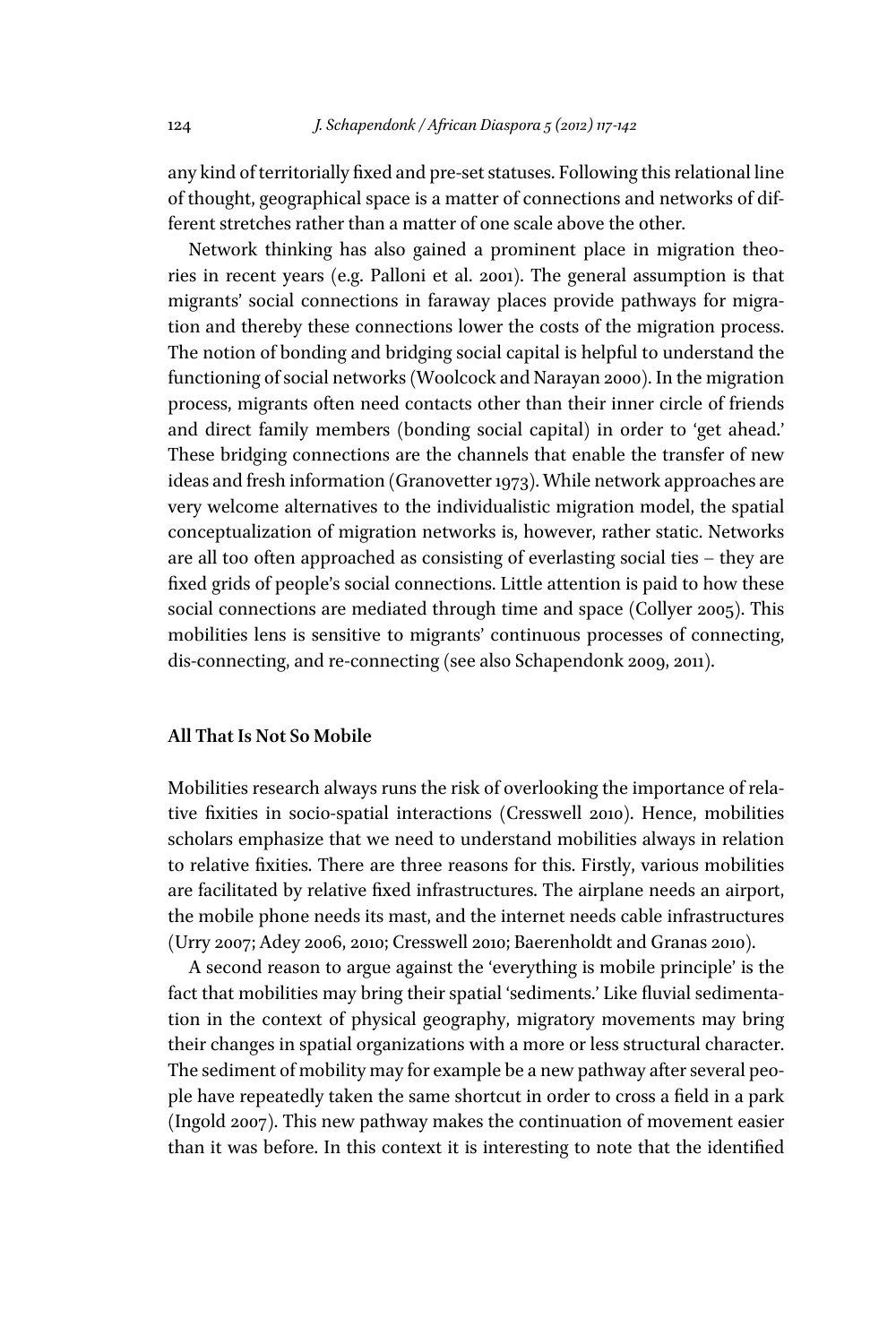any kind of territorially fixed and pre-set statuses. Following this relational line of thought, geographical space is a matter of connections and networks of different stretches rather than a matter of one scale above the other.

Network thinking has also gained a prominent place in migration theories in recent years (e.g. Palloni et al. 2001). The general assumption is that migrants' social connections in faraway places provide pathways for migration and thereby these connections lower the costs of the migration process. The notion of bonding and bridging social capital is helpful to understand the functioning of social networks (Woolcock and Narayan 2000). In the migration process, migrants often need contacts other than their inner circle of friends and direct family members (bonding social capital) in order to 'get ahead.' These bridging connections are the channels that enable the transfer of new ideas and fresh information (Granovetter 1973). While network approaches are very welcome alternatives to the individualistic migration model, the spatial conceptualization of migration networks is, however, rather static. Networks are all too often approached as consisting of everlasting social ties – they are fixed grids of people's social connections. Little attention is paid to how these social connections are mediated through time and space (Collyer 2005). This mobilities lens is sensitive to migrants' continuous processes of connecting, dis-connecting, and re-connecting (see also Schapendonk 2009, 2011).

# **All That Is Not So Mobile**

Mobilities research always runs the risk of overlooking the importance of relative fixities in socio-spatial interactions (Cresswell 2010). Hence, mobilities scholars emphasize that we need to understand mobilities always in relation to relative fixities. There are three reasons for this. Firstly, various mobilities are facilitated by relative fixed infrastructures. The airplane needs an airport, the mobile phone needs its mast, and the internet needs cable infrastructures (Urry 2007; Adey 2006, 2010; Cresswell 2010; Baerenholdt and Granas 2010).

A second reason to argue against the 'everything is mobile principle' is the fact that mobilities may bring their spatial 'sediments.' Like fluvial sedimentation in the context of physical geography, migratory movements may bring their changes in spatial organizations with a more or less structural character. The sediment of mobility may for example be a new pathway after several people have repeatedly taken the same shortcut in order to cross a field in a park (Ingold 2007). This new pathway makes the continuation of movement easier than it was before. In this context it is interesting to note that the identified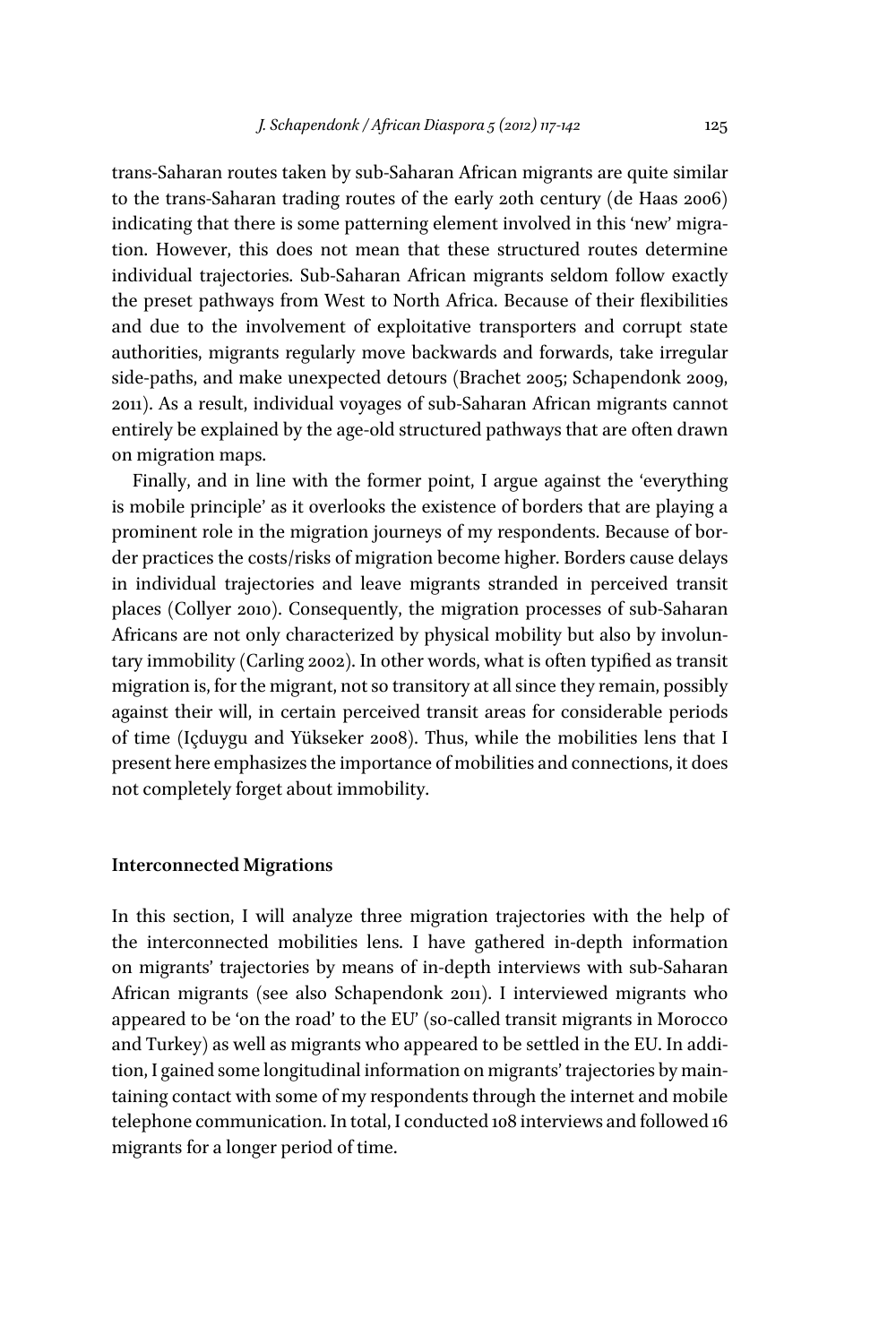trans-Saharan routes taken by sub-Saharan African migrants are quite similar to the trans-Saharan trading routes of the early 20th century (de Haas 2006) indicating that there is some patterning element involved in this 'new' migration. However, this does not mean that these structured routes determine individual trajectories. Sub-Saharan African migrants seldom follow exactly the preset pathways from West to North Africa. Because of their flexibilities and due to the involvement of exploitative transporters and corrupt state authorities, migrants regularly move backwards and forwards, take irregular side-paths, and make unexpected detours (Brachet 2005; Schapendonk 2009, 2011). As a result, individual voyages of sub-Saharan African migrants cannot entirely be explained by the age-old structured pathways that are often drawn on migration maps.

Finally, and in line with the former point, I argue against the 'everything is mobile principle' as it overlooks the existence of borders that are playing a prominent role in the migration journeys of my respondents. Because of border practices the costs/risks of migration become higher. Borders cause delays in individual trajectories and leave migrants stranded in perceived transit places (Collyer 2010). Consequently, the migration processes of sub-Saharan Africans are not only characterized by physical mobility but also by involuntary immobility (Carling 2002). In other words, what is often typified as transit migration is, for the migrant, not so transitory at all since they remain, possibly against their will, in certain perceived transit areas for considerable periods of time (Içduygu and Yükseker 2008). Thus, while the mobilities lens that I present here emphasizes the importance of mobilities and connections, it does not completely forget about immobility.

#### **Interconnected Migrations**

In this section, I will analyze three migration trajectories with the help of the interconnected mobilities lens. I have gathered in-depth information on migrants' trajectories by means of in-depth interviews with sub-Saharan African migrants (see also Schapendonk 2011). I interviewed migrants who appeared to be 'on the road' to the EU' (so-called transit migrants in Morocco and Turkey) as well as migrants who appeared to be settled in the EU. In addition, I gained some longitudinal information on migrants' trajectories by maintaining contact with some of my respondents through the internet and mobile telephone communication. In total, I conducted 108 interviews and followed 16 migrants for a longer period of time.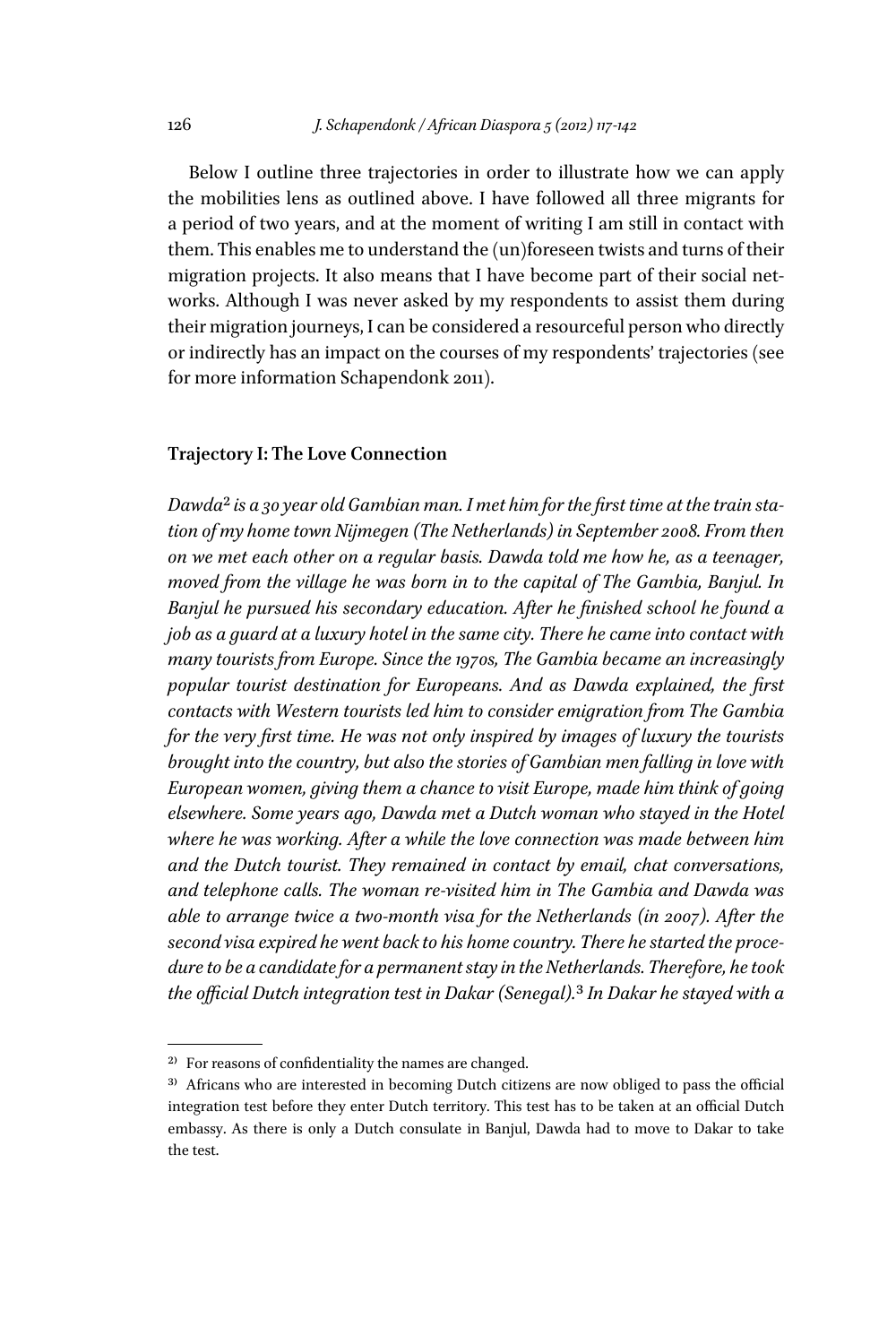Below I outline three trajectories in order to illustrate how we can apply the mobilities lens as outlined above. I have followed all three migrants for a period of two years, and at the moment of writing I am still in contact with them. This enables me to understand the (un)foreseen twists and turns of their migration projects. It also means that I have become part of their social networks. Although I was never asked by my respondents to assist them during their migration journeys, I can be considered a resourceful person who directly or indirectly has an impact on the courses of my respondents' trajectories (see for more information Schapendonk 2011).

# **Trajectory I: The Love Connection**

Dawda<sup>2</sup> is a 30 year old Gambian man. I met him for the first time at the train sta*tion of my home town Nijmegen (The Netherlands) in September 2008. From then on we met each other on a regular basis. Dawda told me how he, as a teenager, moved from the village he was born in to the capital of The Gambia, Banjul. In Banjul he pursued his secondary education. After he finished school he found a job as a guard at a luxury hotel in the same city. There he came into contact with many tourists from Europe. Since the 1970s, The Gambia became an increasingly popular tourist destination for Europeans. And as Dawda explained, the first contacts with Western tourists led him to consider emigration from The Gambia for the very first time. He was not only inspired by images of luxury the tourists brought into the country, but also the stories of Gambian men falling in love with European women, giving them a chance to visit Europe, made him think of going elsewhere. Some years ago, Dawda met a Dutch woman who stayed in the Hotel where he was working. After a while the love connection was made between him and the Dutch tourist. They remained in contact by email, chat conversations, and telephone calls. The woman re-visited him in The Gambia and Dawda was able to arrange twice a two-month visa for the Netherlands (in 2007). After the second visa expired he went back to his home country. There he started the procedure to be a candidate for a permanent stay in the Netherlands. Therefore, he took the offfijicial Dutch integration test in Dakar (Senegal).*3 *In Dakar he stayed with a* 

<sup>&</sup>lt;sup>2)</sup> For reasons of confidentiality the names are changed.

 $3)$  Africans who are interested in becoming Dutch citizens are now obliged to pass the official integration test before they enter Dutch territory. This test has to be taken at an official Dutch embassy. As there is only a Dutch consulate in Banjul, Dawda had to move to Dakar to take the test.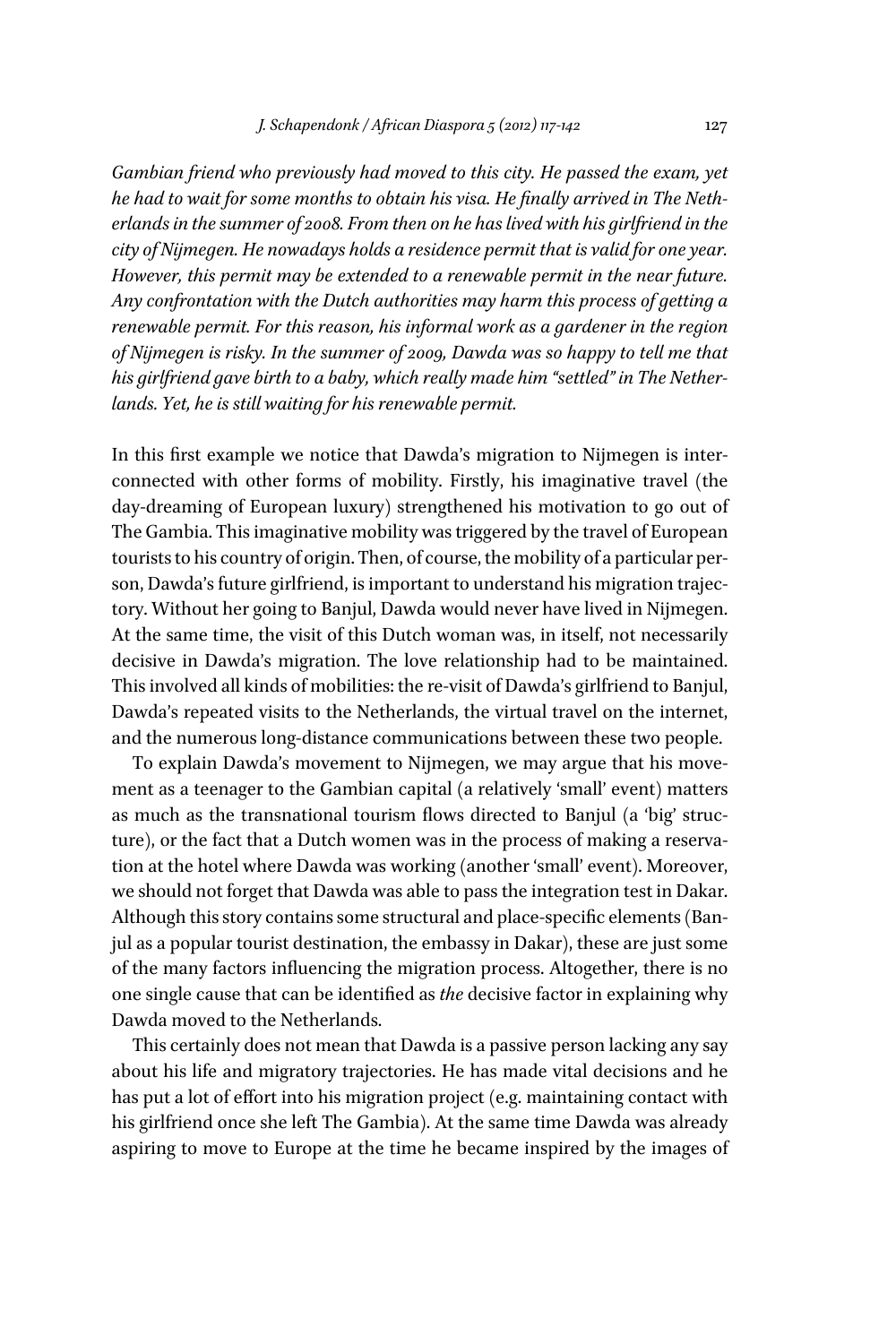*Gambian friend who previously had moved to this city. He passed the exam, yet*  he had to wait for some months to obtain his visa. He finally arrived in The Neth*erlands in the summer of 2008. From then on he has lived with his girlfriend in the city of Nijmegen. He nowadays holds a residence permit that is valid for one year. However, this permit may be extended to a renewable permit in the near future. Any confrontation with the Dutch authorities may harm this process of getting a renewable permit. For this reason, his informal work as a gardener in the region of Nijmegen is risky. In the summer of 2009, Dawda was so happy to tell me that his girlfriend gave birth to a baby, which really made him "settled" in The Netherlands. Yet, he is still waiting for his renewable permit.*

In this first example we notice that Dawda's migration to Nijmegen is interconnected with other forms of mobility. Firstly, his imaginative travel (the day-dreaming of European luxury) strengthened his motivation to go out of The Gambia. This imaginative mobility was triggered by the travel of European tourists to his country of origin. Then, of course, the mobility of a particular person, Dawda's future girlfriend, is important to understand his migration trajectory. Without her going to Banjul, Dawda would never have lived in Nijmegen. At the same time, the visit of this Dutch woman was, in itself, not necessarily decisive in Dawda's migration. The love relationship had to be maintained. This involved all kinds of mobilities: the re-visit of Dawda's girlfriend to Banjul, Dawda's repeated visits to the Netherlands, the virtual travel on the internet, and the numerous long-distance communications between these two people.

To explain Dawda's movement to Nijmegen, we may argue that his movement as a teenager to the Gambian capital (a relatively 'small' event) matters as much as the transnational tourism flows directed to Banjul (a 'big' structure), or the fact that a Dutch women was in the process of making a reservation at the hotel where Dawda was working (another 'small' event). Moreover, we should not forget that Dawda was able to pass the integration test in Dakar. Although this story contains some structural and place-specific elements (Banjul as a popular tourist destination, the embassy in Dakar), these are just some of the many factors influencing the migration process. Altogether, there is no one single cause that can be identified as *the* decisive factor in explaining why Dawda moved to the Netherlands.

This certainly does not mean that Dawda is a passive person lacking any say about his life and migratory trajectories. He has made vital decisions and he has put a lot of effort into his migration project (e.g. maintaining contact with his girlfriend once she left The Gambia). At the same time Dawda was already aspiring to move to Europe at the time he became inspired by the images of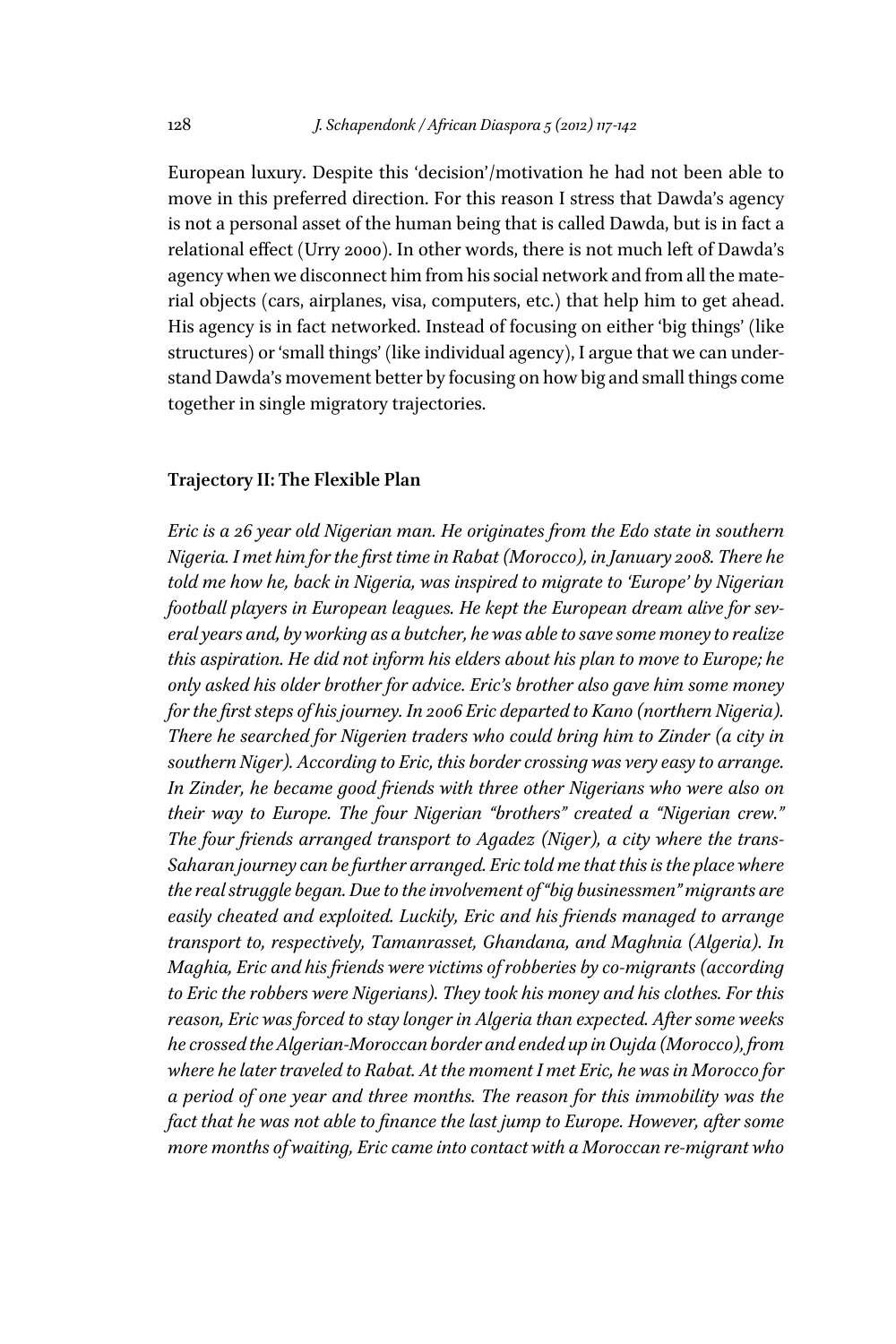European luxury. Despite this 'decision'/motivation he had not been able to move in this preferred direction. For this reason I stress that Dawda's agency is not a personal asset of the human being that is called Dawda, but is in fact a relational efffect (Urry 2000). In other words, there is not much left of Dawda's agency when we disconnect him from his social network and from all the material objects (cars, airplanes, visa, computers, etc.) that help him to get ahead. His agency is in fact networked. Instead of focusing on either 'big things' (like structures) or 'small things' (like individual agency), I argue that we can understand Dawda's movement better by focusing on how big and small things come together in single migratory trajectories.

### **Trajectory II: The Flexible Plan**

*Eric is a 26 year old Nigerian man. He originates from the Edo state in southern Nigeria. I met him for the fijirst time in Rabat (Morocco), in January 2008. There he told me how he, back in Nigeria, was inspired to migrate to 'Europe' by Nigerian football players in European leagues. He kept the European dream alive for several years and, by working as a butcher, he was able to save some money to realize this aspiration. He did not inform his elders about his plan to move to Europe; he only asked his older brother for advice. Eric's brother also gave him some money for the first steps of his journey. In 2006 Eric departed to Kano (northern Nigeria). There he searched for Nigerien traders who could bring him to Zinder (a city in southern Niger). According to Eric, this border crossing was very easy to arrange. In Zinder, he became good friends with three other Nigerians who were also on their way to Europe. The four Nigerian "brothers" created a "Nigerian crew." The four friends arranged transport to Agadez (Niger), a city where the trans- Saharan journey can be further arranged. Eric told me that this is the place where the real struggle began. Due to the involvement of "big businessmen" migrants are easily cheated and exploited. Luckily, Eric and his friends managed to arrange transport to, respectively, Tamanrasset, Ghandana, and Maghnia (Algeria). In Maghia, Eric and his friends were victims of robberies by co-migrants (according to Eric the robbers were Nigerians). They took his money and his clothes. For this reason, Eric was forced to stay longer in Algeria than expected. After some weeks he crossed the Algerian-Moroccan border and ended up in Oujda (Morocco), from where he later traveled to Rabat. At the moment I met Eric, he was in Morocco for a period of one year and three months. The reason for this immobility was the fact that he was not able to finance the last jump to Europe. However, after some more months of waiting, Eric came into contact with a Moroccan re-migrant who*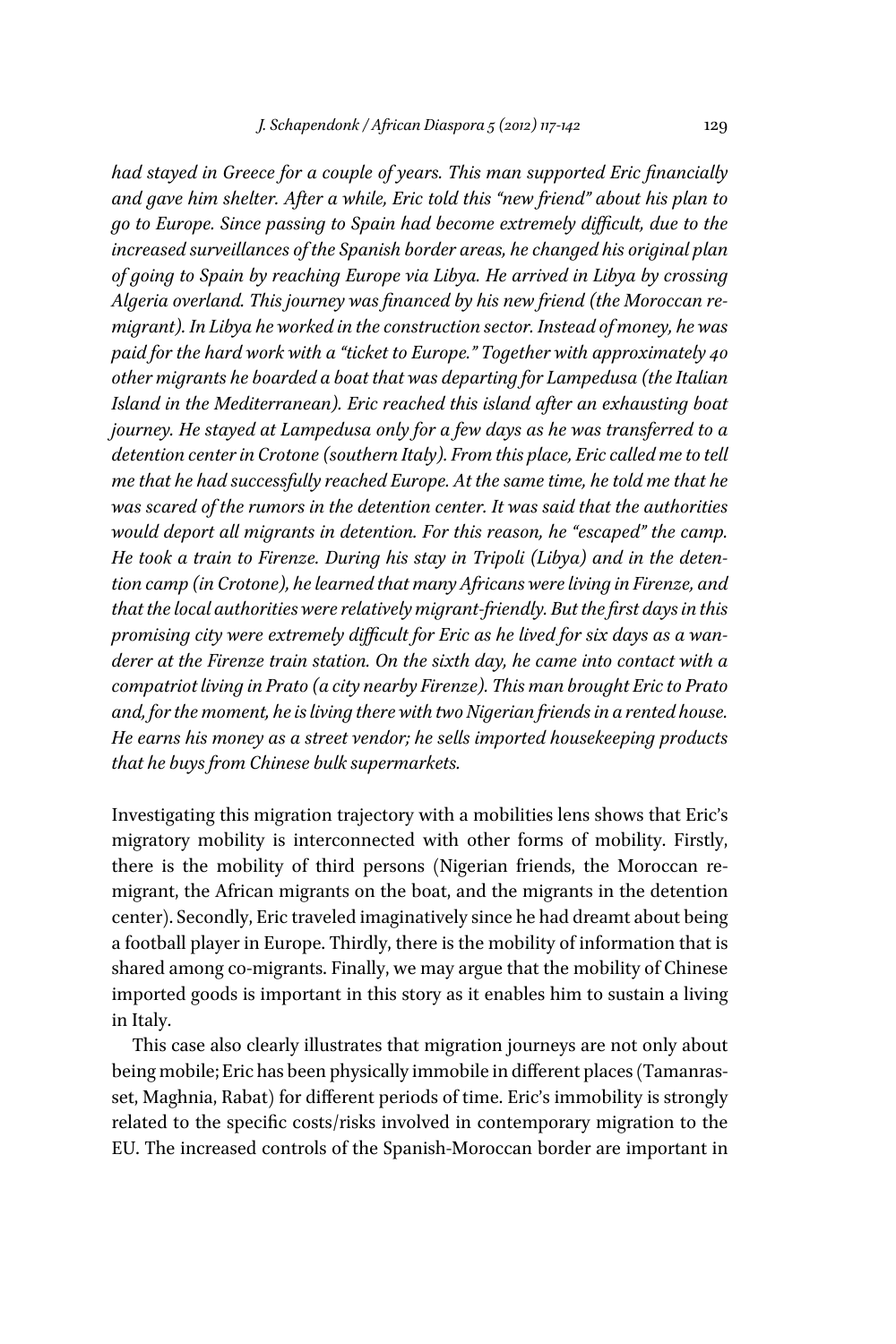had stayed in Greece for a couple of years. This man supported Eric financially *and gave him shelter. After a while, Eric told this "new friend" about his plan to go to Europe. Since passing to Spain had become extremely difficult, due to the increased surveillances of the Spanish border areas, he changed his original plan of going to Spain by reaching Europe via Libya. He arrived in Libya by crossing*  Algeria overland. This journey was financed by his new friend (the Moroccan re*migrant). In Libya he worked in the construction sector. Instead of money, he was paid for the hard work with a "ticket to Europe." Together with approximately 40 other migrants he boarded a boat that was departing for Lampedusa (the Italian Island in the Mediterranean). Eric reached this island after an exhausting boat journey. He stayed at Lampedusa only for a few days as he was transferred to a detention center in Crotone (southern Italy). From this place, Eric called me to tell me that he had successfully reached Europe. At the same time, he told me that he was scared of the rumors in the detention center. It was said that the authorities would deport all migrants in detention. For this reason, he "escaped" the camp. He took a train to Firenze. During his stay in Tripoli (Libya) and in the detention camp (in Crotone), he learned that many Africans were living in Firenze, and that the local authorities were relatively migrant-friendly. But the first days in this* promising city were extremely difficult for Eric as he lived for six days as a wan*derer at the Firenze train station. On the sixth day, he came into contact with a compatriot living in Prato (a city nearby Firenze). This man brought Eric to Prato and, for the moment, he is living there with two Nigerian friends in a rented house. He earns his money as a street vendor; he sells imported housekeeping products that he buys from Chinese bulk supermarkets.*

Investigating this migration trajectory with a mobilities lens shows that Eric's migratory mobility is interconnected with other forms of mobility. Firstly, there is the mobility of third persons (Nigerian friends, the Moroccan remigrant, the African migrants on the boat, and the migrants in the detention center). Secondly, Eric traveled imaginatively since he had dreamt about being a football player in Europe. Thirdly, there is the mobility of information that is shared among co-migrants. Finally, we may argue that the mobility of Chinese imported goods is important in this story as it enables him to sustain a living in Italy.

This case also clearly illustrates that migration journeys are not only about being mobile; Eric has been physically immobile in different places (Tamanrasset, Maghnia, Rabat) for different periods of time. Eric's immobility is strongly related to the specific costs/risks involved in contemporary migration to the EU. The increased controls of the Spanish-Moroccan border are important in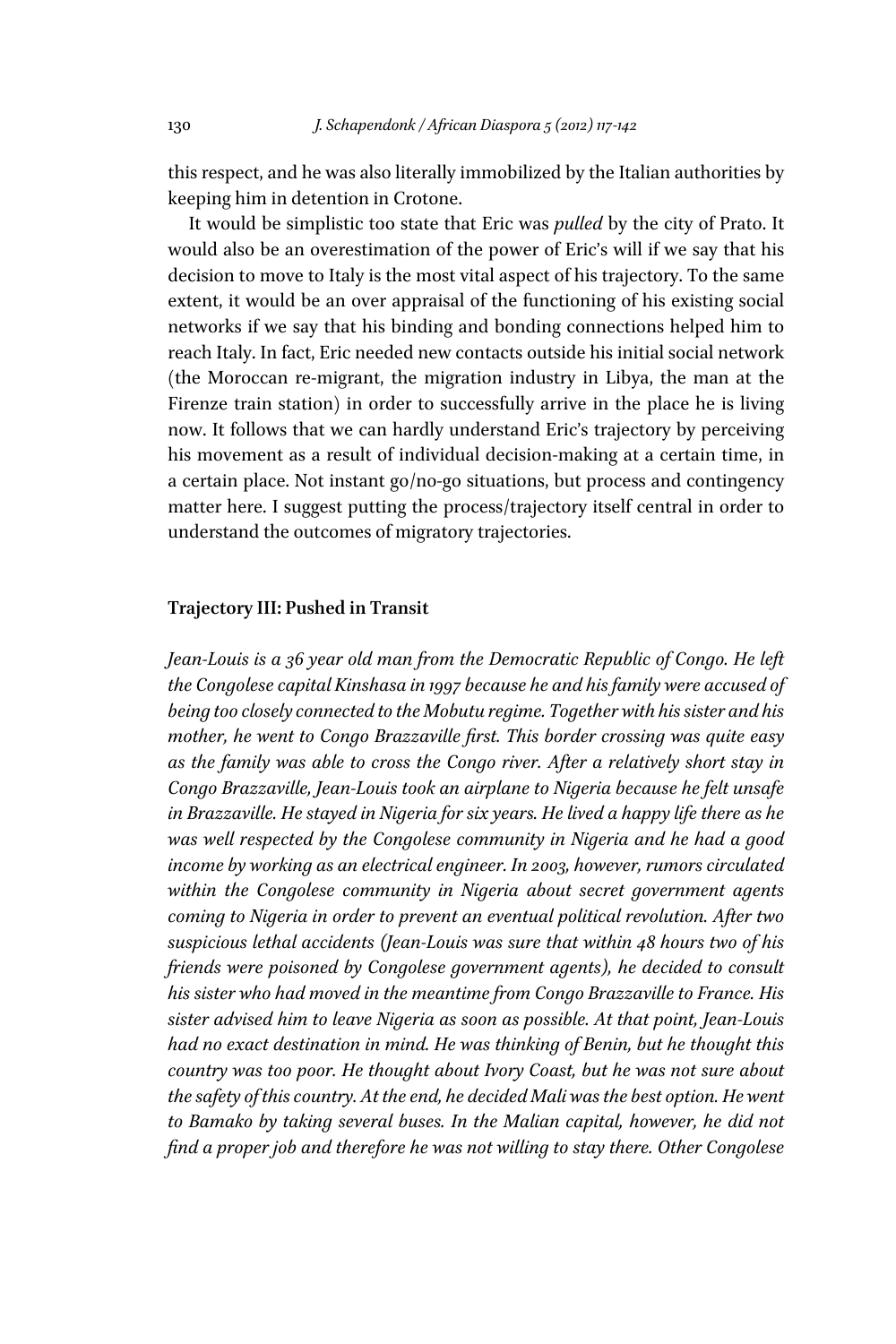this respect, and he was also literally immobilized by the Italian authorities by keeping him in detention in Crotone.

It would be simplistic too state that Eric was *pulled* by the city of Prato. It would also be an overestimation of the power of Eric's will if we say that his decision to move to Italy is the most vital aspect of his trajectory. To the same extent, it would be an over appraisal of the functioning of his existing social networks if we say that his binding and bonding connections helped him to reach Italy. In fact, Eric needed new contacts outside his initial social network (the Moroccan re-migrant, the migration industry in Libya, the man at the Firenze train station) in order to successfully arrive in the place he is living now. It follows that we can hardly understand Eric's trajectory by perceiving his movement as a result of individual decision-making at a certain time, in a certain place. Not instant go/no-go situations, but process and contingency matter here. I suggest putting the process/trajectory itself central in order to understand the outcomes of migratory trajectories.

#### **Trajectory III: Pushed in Transit**

Jean-Louis is a 36 year old man from the Democratic Republic of Congo. He left *the Congolese capital Kinshasa in 1997 because he and his family were accused of being too closely connected to the Mobutu regime. Together with his sister and his mother, he went to Congo Brazzaville first. This border crossing was quite easy as the family was able to cross the Congo river. After a relatively short stay in Congo Brazzaville, Jean-Louis took an airplane to Nigeria because he felt unsafe in Brazzaville. He stayed in Nigeria for six years. He lived a happy life there as he was well respected by the Congolese community in Nigeria and he had a good income by working as an electrical engineer. In 2003, however, rumors circulated within the Congolese community in Nigeria about secret government agents coming to Nigeria in order to prevent an eventual political revolution. After two suspicious lethal accidents (Jean-Louis was sure that within 48 hours two of his friends were poisoned by Congolese government agents), he decided to consult his sister who had moved in the meantime from Congo Brazzaville to France. His sister advised him to leave Nigeria as soon as possible. At that point, Jean-Louis had no exact destination in mind. He was thinking of Benin, but he thought this country was too poor. He thought about Ivory Coast, but he was not sure about the safety of this country. At the end, he decided Mali was the best option. He went to Bamako by taking several buses. In the Malian capital, however, he did not find a proper job and therefore he was not willing to stay there. Other Congolese*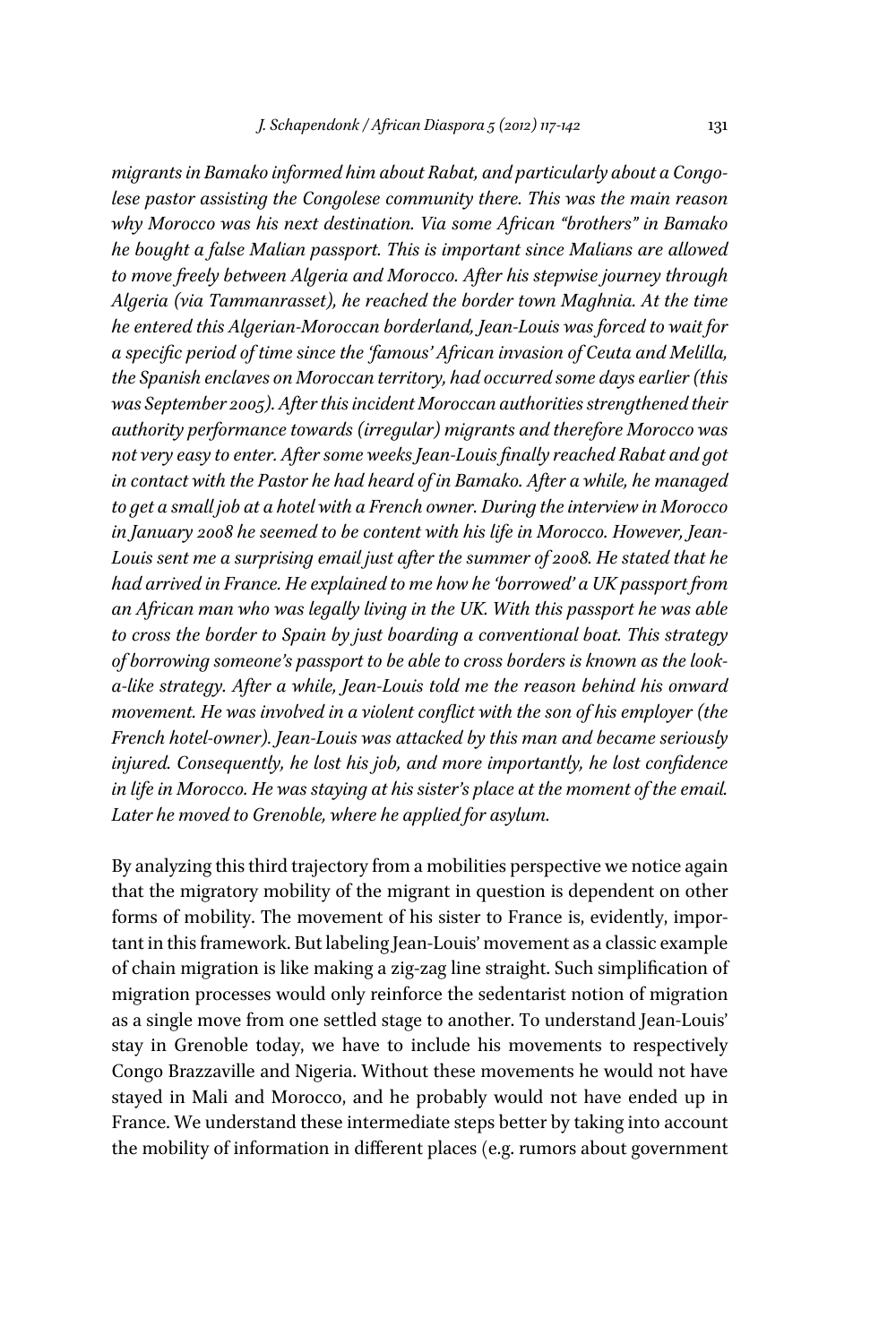*migrants in Bamako informed him about Rabat, and particularly about a Congolese pastor assisting the Congolese community there. This was the main reason why Morocco was his next destination. Via some African "brothers" in Bamako he bought a false Malian passport. This is important since Malians are allowed to move freely between Algeria and Morocco. After his stepwise journey through Algeria (via Tammanrasset), he reached the border town Maghnia. At the time he entered this Algerian-Moroccan borderland, Jean-Louis was forced to wait for*  a specific period of time since the 'famous' African invasion of Ceuta and Melilla, *the Spanish enclaves on Moroccan territory, had occurred some days earlier (this was September 2005). After this incident Moroccan authorities strengthened their authority performance towards (irregular) migrants and therefore Morocco was*  not very easy to enter. After some weeks Jean-Louis finally reached Rabat and got *in contact with the Pastor he had heard of in Bamako. After a while, he managed to get a small job at a hotel with a French owner. During the interview in Morocco in January 2008 he seemed to be content with his life in Morocco. However, Jean-Louis sent me a surprising email just after the summer of 2008. He stated that he had arrived in France. He explained to me how he 'borrowed' a UK passport from an African man who was legally living in the UK. With this passport he was able to cross the border to Spain by just boarding a conventional boat. This strategy of borrowing someone's passport to be able to cross borders is known as the looka-like strategy. After a while, Jean-Louis told me the reason behind his onward movement. He was involved in a violent conflict with the son of his employer (the French hotel-owner). Jean-Louis was attacked by this man and became seriously injured. Consequently, he lost his job, and more importantly, he lost confidence in life in Morocco. He was staying at his sister's place at the moment of the email. Later he moved to Grenoble, where he applied for asylum.*

By analyzing this third trajectory from a mobilities perspective we notice again that the migratory mobility of the migrant in question is dependent on other forms of mobility. The movement of his sister to France is, evidently, important in this framework. But labeling Jean-Louis' movement as a classic example of chain migration is like making a zig-zag line straight. Such simplification of migration processes would only reinforce the sedentarist notion of migration as a single move from one settled stage to another. To understand Jean-Louis' stay in Grenoble today, we have to include his movements to respectively Congo Brazzaville and Nigeria. Without these movements he would not have stayed in Mali and Morocco, and he probably would not have ended up in France. We understand these intermediate steps better by taking into account the mobility of information in diffferent places (e.g. rumors about government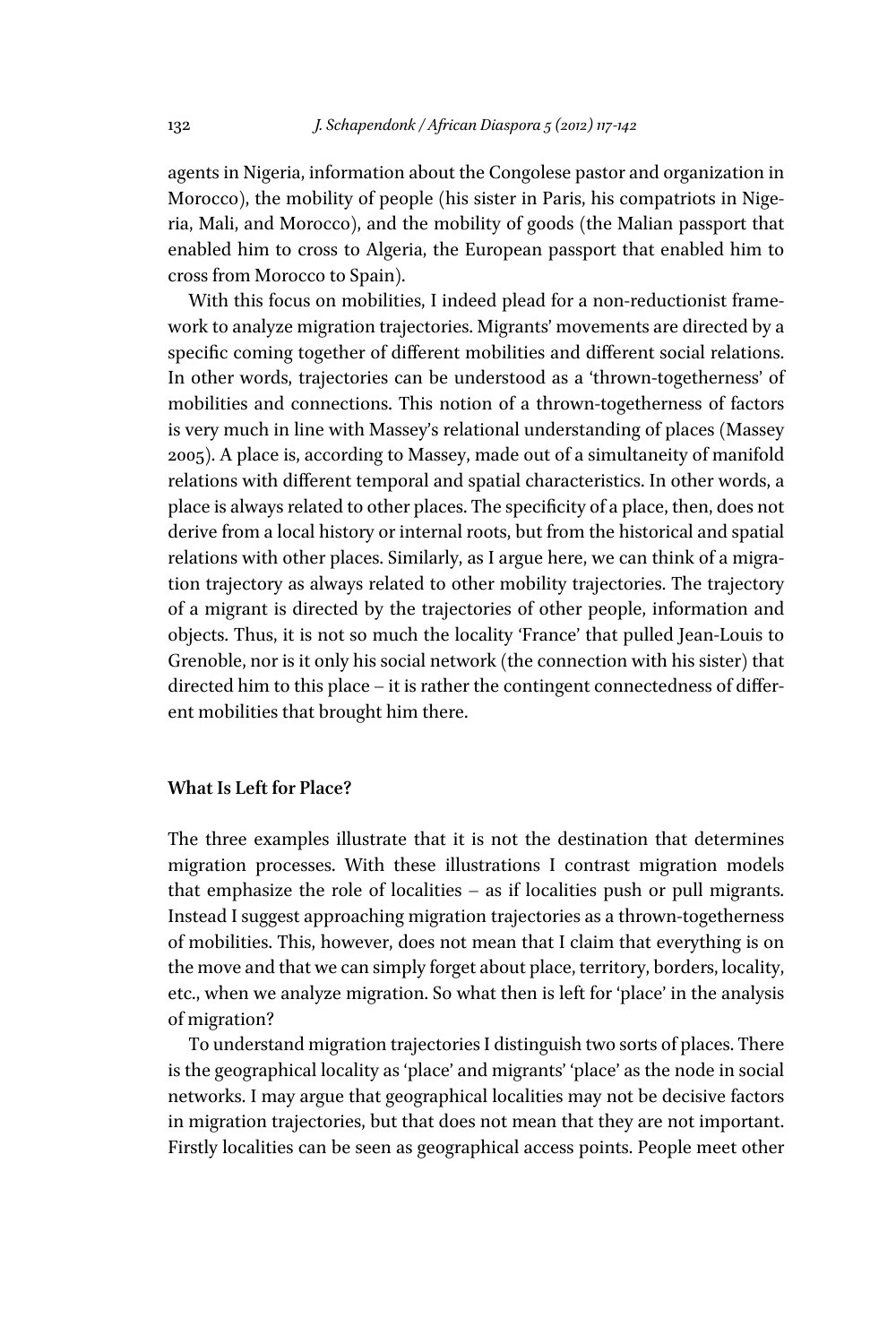agents in Nigeria, information about the Congolese pastor and organization in Morocco), the mobility of people (his sister in Paris, his compatriots in Nigeria, Mali, and Morocco), and the mobility of goods (the Malian passport that enabled him to cross to Algeria, the European passport that enabled him to cross from Morocco to Spain).

With this focus on mobilities, I indeed plead for a non-reductionist framework to analyze migration trajectories. Migrants' movements are directed by a specific coming together of different mobilities and different social relations. In other words, trajectories can be understood as a 'thrown-togetherness' of mobilities and connections. This notion of a thrown-togetherness of factors is very much in line with Massey's relational understanding of places (Massey 2005). A place is, according to Massey, made out of a simultaneity of manifold relations with diffferent temporal and spatial characteristics. In other words, a place is always related to other places. The specificity of a place, then, does not derive from a local history or internal roots, but from the historical and spatial relations with other places. Similarly, as I argue here, we can think of a migration trajectory as always related to other mobility trajectories. The trajectory of a migrant is directed by the trajectories of other people, information and objects. Thus, it is not so much the locality 'France' that pulled Jean-Louis to Grenoble, nor is it only his social network (the connection with his sister) that directed him to this place  $-$  it is rather the contingent connectedness of different mobilities that brought him there.

#### **What Is Left for Place?**

The three examples illustrate that it is not the destination that determines migration processes. With these illustrations I contrast migration models that emphasize the role of localities – as if localities push or pull migrants. Instead I suggest approaching migration trajectories as a thrown-togetherness of mobilities. This, however, does not mean that I claim that everything is on the move and that we can simply forget about place, territory, borders, locality, etc., when we analyze migration. So what then is left for 'place' in the analysis of migration?

To understand migration trajectories I distinguish two sorts of places. There is the geographical locality as 'place' and migrants' 'place' as the node in social networks. I may argue that geographical localities may not be decisive factors in migration trajectories, but that does not mean that they are not important. Firstly localities can be seen as geographical access points. People meet other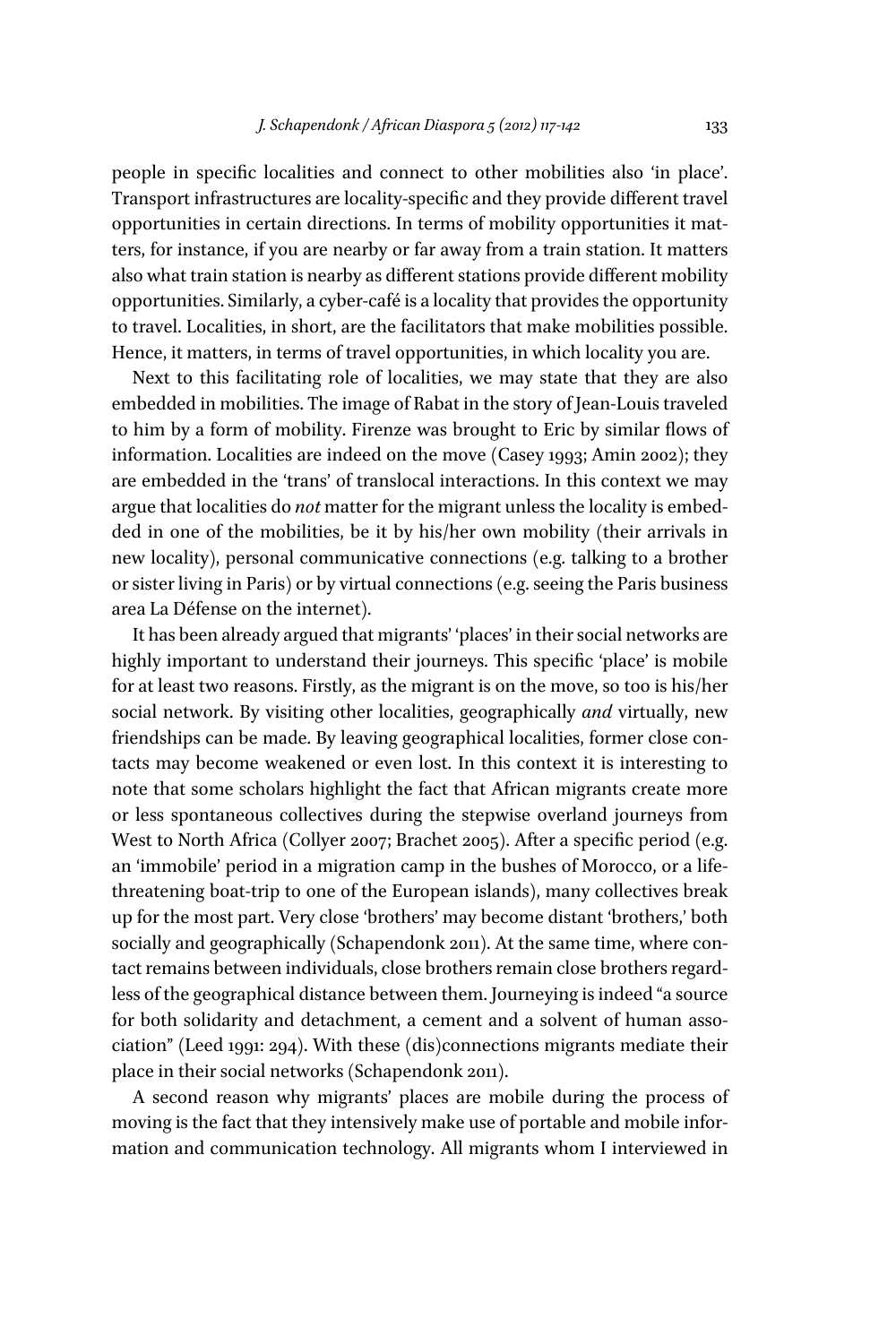people in specific localities and connect to other mobilities also 'in place'. Transport infrastructures are locality-specific and they provide different travel opportunities in certain directions. In terms of mobility opportunities it matters, for instance, if you are nearby or far away from a train station. It matters also what train station is nearby as different stations provide different mobility opportunities. Similarly, a cyber-café is a locality that provides the opportunity to travel. Localities, in short, are the facilitators that make mobilities possible. Hence, it matters, in terms of travel opportunities, in which locality you are.

Next to this facilitating role of localities, we may state that they are also embedded in mobilities. The image of Rabat in the story of Jean-Louis traveled to him by a form of mobility. Firenze was brought to Eric by similar flows of information. Localities are indeed on the move (Casey 1993; Amin 2002); they are embedded in the 'trans' of translocal interactions. In this context we may argue that localities do *not* matter for the migrant unless the locality is embedded in one of the mobilities, be it by his/her own mobility (their arrivals in new locality), personal communicative connections (e.g. talking to a brother or sister living in Paris) or by virtual connections (e.g. seeing the Paris business area La Défense on the internet).

It has been already argued that migrants' 'places' in their social networks are highly important to understand their journeys. This specific 'place' is mobile for at least two reasons. Firstly, as the migrant is on the move, so too is his/her social network. By visiting other localities, geographically *and* virtually, new friendships can be made. By leaving geographical localities, former close contacts may become weakened or even lost. In this context it is interesting to note that some scholars highlight the fact that African migrants create more or less spontaneous collectives during the stepwise overland journeys from West to North Africa (Collyer 2007; Brachet 2005). After a specific period (e.g. an 'immobile' period in a migration camp in the bushes of Morocco, or a lifethreatening boat-trip to one of the European islands), many collectives break up for the most part. Very close 'brothers' may become distant 'brothers,' both socially and geographically (Schapendonk 2011). At the same time, where contact remains between individuals, close brothers remain close brothers regardless of the geographical distance between them. Journeying is indeed "a source for both solidarity and detachment, a cement and a solvent of human association" (Leed 1991: 294). With these (dis)connections migrants mediate their place in their social networks (Schapendonk 2011).

A second reason why migrants' places are mobile during the process of moving is the fact that they intensively make use of portable and mobile information and communication technology. All migrants whom I interviewed in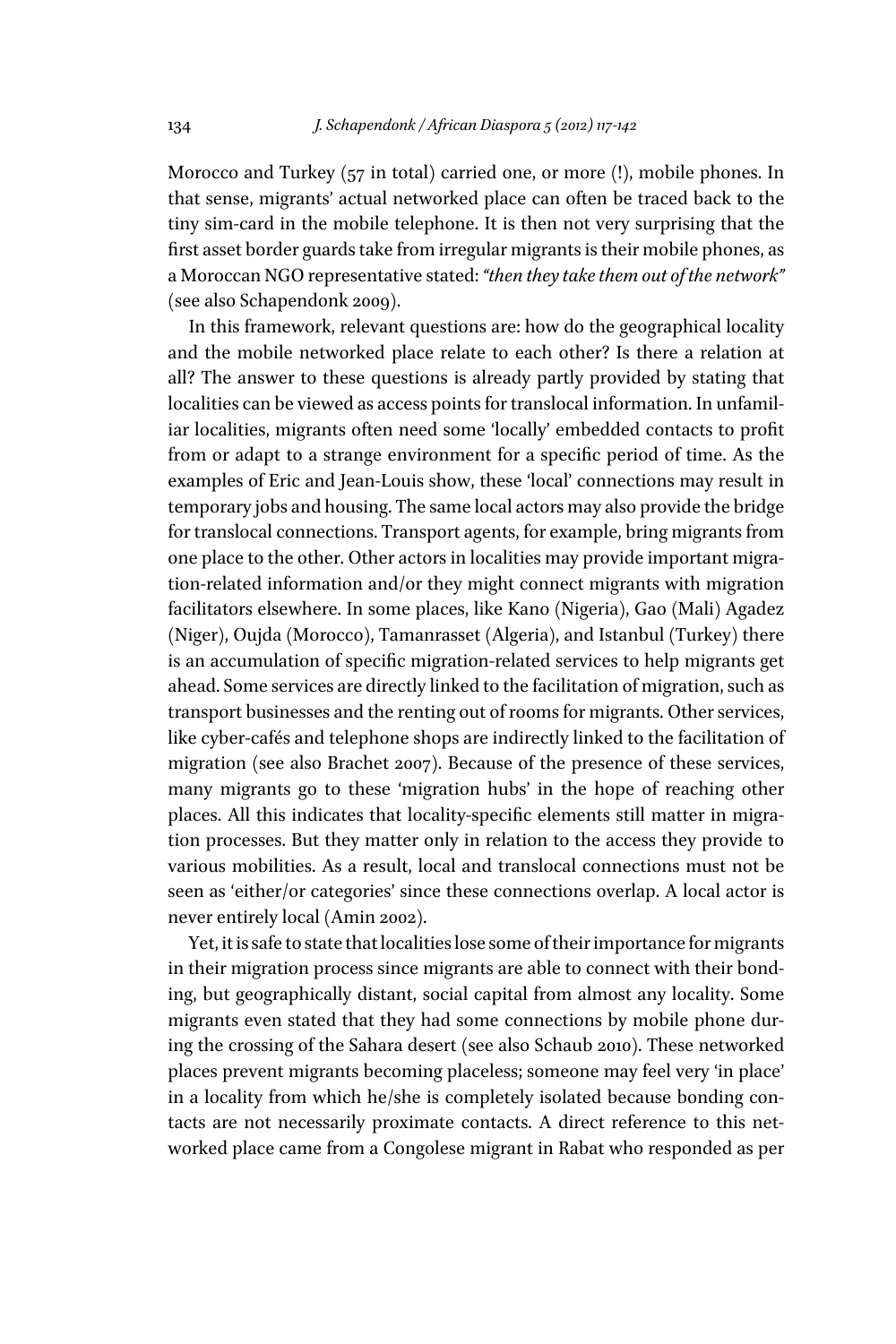Morocco and Turkey (57 in total) carried one, or more (!), mobile phones. In that sense, migrants' actual networked place can often be traced back to the tiny sim-card in the mobile telephone. It is then not very surprising that the first asset border guards take from irregular migrants is their mobile phones, as a Moroccan NGO representative stated: *"then they take them out of the network"* (see also Schapendonk 2009).

In this framework, relevant questions are: how do the geographical locality and the mobile networked place relate to each other? Is there a relation at all? The answer to these questions is already partly provided by stating that localities can be viewed as access points for translocal information. In unfamiliar localities, migrants often need some 'locally' embedded contacts to profit from or adapt to a strange environment for a specific period of time. As the examples of Eric and Jean-Louis show, these 'local' connections may result in temporary jobs and housing. The same local actors may also provide the bridge for translocal connections. Transport agents, for example, bring migrants from one place to the other. Other actors in localities may provide important migration-related information and/or they might connect migrants with migration facilitators elsewhere. In some places, like Kano (Nigeria), Gao (Mali) Agadez (Niger), Oujda (Morocco), Tamanrasset (Algeria), and Istanbul (Turkey) there is an accumulation of specific migration-related services to help migrants get ahead. Some services are directly linked to the facilitation of migration, such as transport businesses and the renting out of rooms for migrants. Other services, like cyber-cafés and telephone shops are indirectly linked to the facilitation of migration (see also Brachet 2007). Because of the presence of these services, many migrants go to these 'migration hubs' in the hope of reaching other places. All this indicates that locality-specific elements still matter in migration processes. But they matter only in relation to the access they provide to various mobilities. As a result, local and translocal connections must not be seen as 'either/or categories' since these connections overlap. A local actor is never entirely local (Amin 2002).

Yet, it is safe to state that localities lose some of their importance for migrants in their migration process since migrants are able to connect with their bonding, but geographically distant, social capital from almost any locality. Some migrants even stated that they had some connections by mobile phone during the crossing of the Sahara desert (see also Schaub 2010). These networked places prevent migrants becoming placeless; someone may feel very 'in place' in a locality from which he/she is completely isolated because bonding contacts are not necessarily proximate contacts. A direct reference to this networked place came from a Congolese migrant in Rabat who responded as per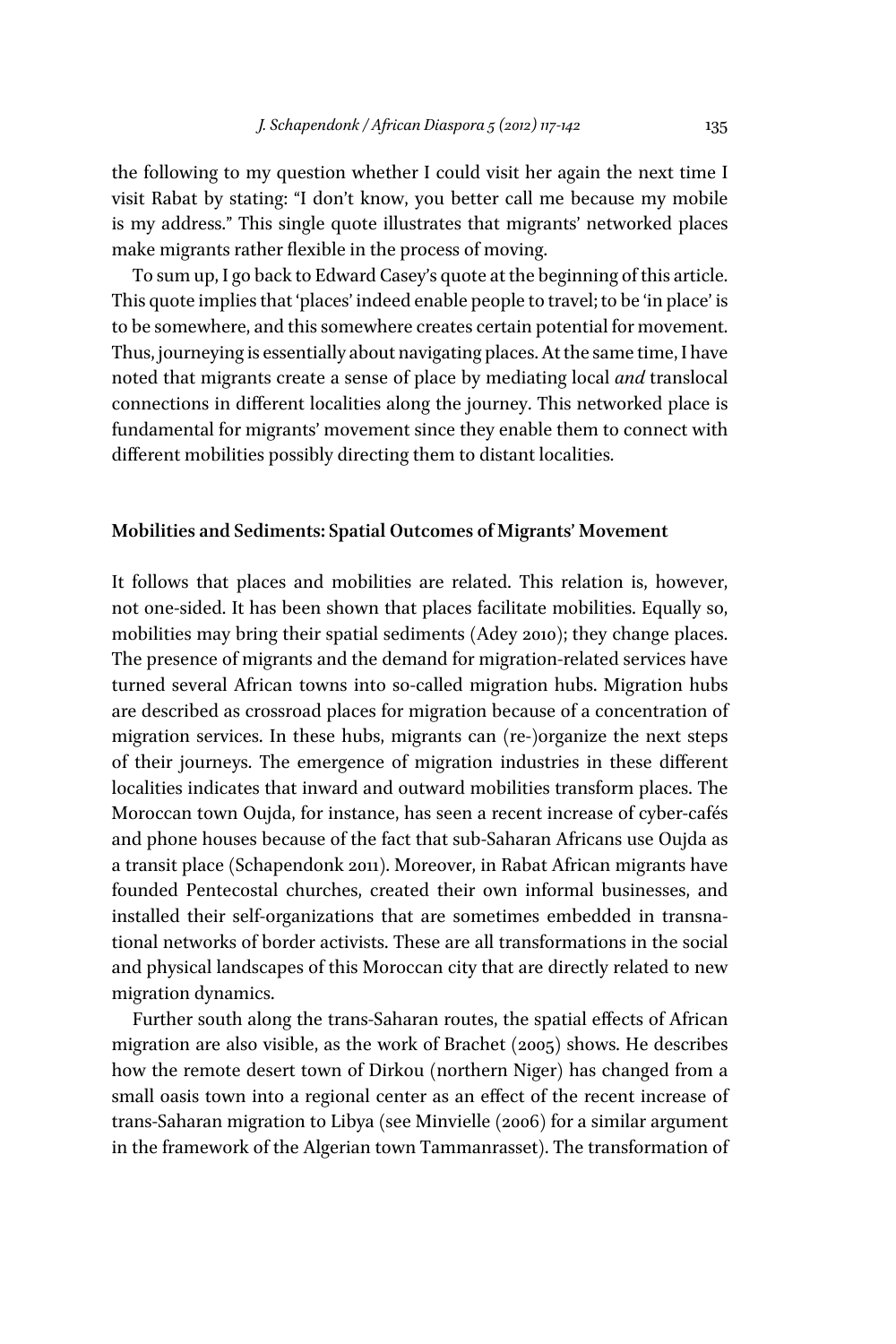the following to my question whether I could visit her again the next time I visit Rabat by stating: "I don't know, you better call me because my mobile is my address." This single quote illustrates that migrants' networked places make migrants rather flexible in the process of moving.

To sum up, I go back to Edward Casey's quote at the beginning of this article. This quote implies that 'places' indeed enable people to travel; to be 'in place' is to be somewhere, and this somewhere creates certain potential for movement. Thus, journeying is essentially about navigating places. At the same time, I have noted that migrants create a sense of place by mediating local *and* translocal connections in diffferent localities along the journey. This networked place is fundamental for migrants' movement since they enable them to connect with diffferent mobilities possibly directing them to distant localities.

## **Mobilities and Sediments: Spatial Outcomes of Migrants' Movement**

It follows that places and mobilities are related. This relation is, however, not one-sided. It has been shown that places facilitate mobilities. Equally so, mobilities may bring their spatial sediments (Adey 2010); they change places. The presence of migrants and the demand for migration-related services have turned several African towns into so-called migration hubs. Migration hubs are described as crossroad places for migration because of a concentration of migration services. In these hubs, migrants can (re-)organize the next steps of their journeys. The emergence of migration industries in these diffferent localities indicates that inward and outward mobilities transform places. The Moroccan town Oujda, for instance, has seen a recent increase of cyber-cafés and phone houses because of the fact that sub-Saharan Africans use Oujda as a transit place (Schapendonk 2011). Moreover, in Rabat African migrants have founded Pentecostal churches, created their own informal businesses, and installed their self-organizations that are sometimes embedded in transnational networks of border activists. These are all transformations in the social and physical landscapes of this Moroccan city that are directly related to new migration dynamics.

Further south along the trans-Saharan routes, the spatial effects of African migration are also visible, as the work of Brachet (2005) shows. He describes how the remote desert town of Dirkou (northern Niger) has changed from a small oasis town into a regional center as an effect of the recent increase of trans-Saharan migration to Libya (see Minvielle (2006) for a similar argument in the framework of the Algerian town Tammanrasset). The transformation of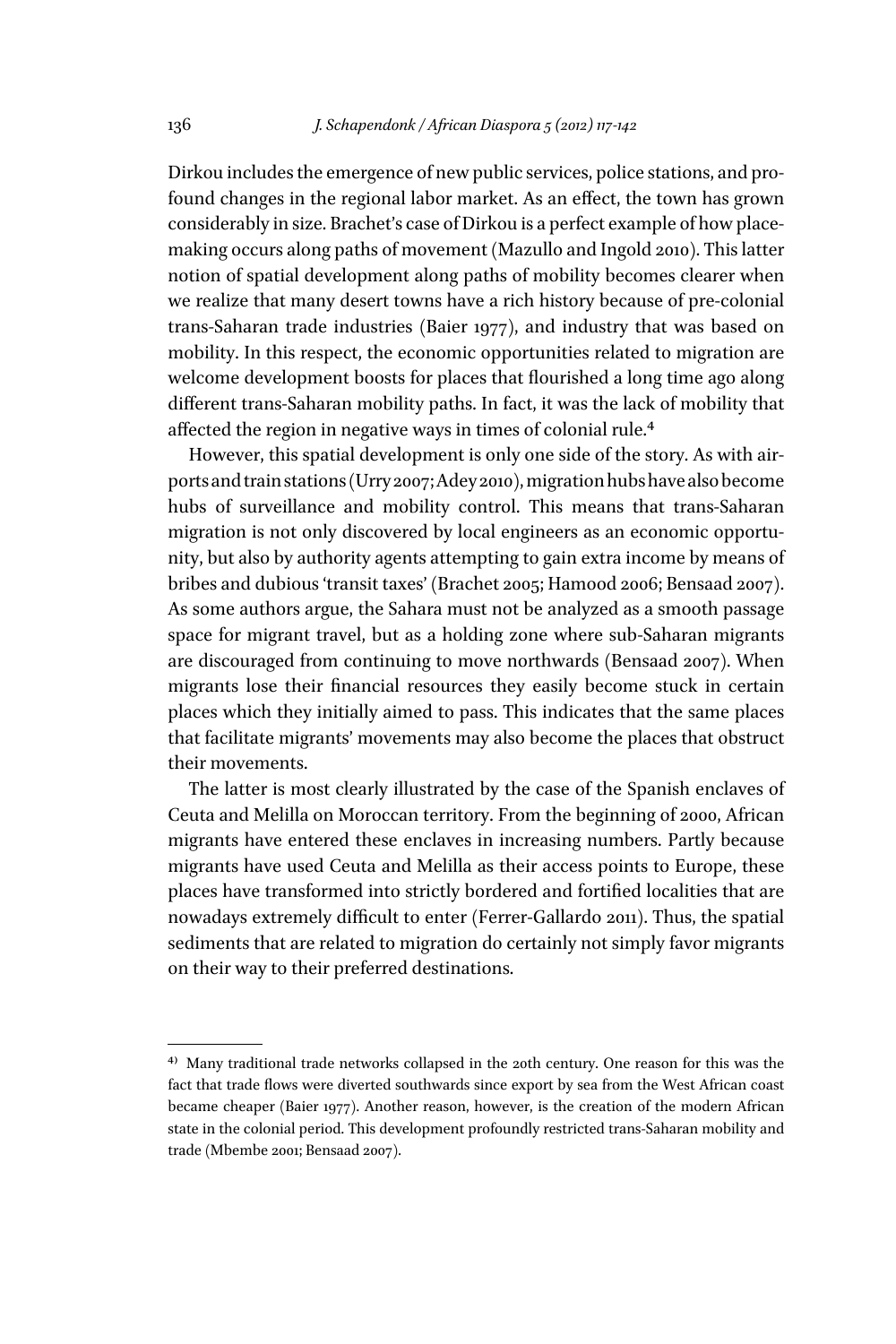Dirkou includes the emergence of new public services, police stations, and profound changes in the regional labor market. As an effect, the town has grown considerably in size. Brachet's case of Dirkou is a perfect example of how placemaking occurs along paths of movement (Mazullo and Ingold 2010). This latter notion of spatial development along paths of mobility becomes clearer when we realize that many desert towns have a rich history because of pre-colonial trans-Saharan trade industries (Baier 1977), and industry that was based on mobility. In this respect, the economic opportunities related to migration are welcome development boosts for places that flourished a long time ago along diffferent trans-Saharan mobility paths. In fact, it was the lack of mobility that affected the region in negative ways in times of colonial rule.<sup>4</sup>

However, this spatial development is only one side of the story. As with airports and train stations (Urry 2007; Adey 2010), migration hubs have also become hubs of surveillance and mobility control. This means that trans-Saharan migration is not only discovered by local engineers as an economic opportunity, but also by authority agents attempting to gain extra income by means of bribes and dubious 'transit taxes' (Brachet 2005; Hamood 2006; Bensaad 2007). As some authors argue, the Sahara must not be analyzed as a smooth passage space for migrant travel, but as a holding zone where sub-Saharan migrants are discouraged from continuing to move northwards ( Bensaad 2007). When migrants lose their financial resources they easily become stuck in certain places which they initially aimed to pass. This indicates that the same places that facilitate migrants' movements may also become the places that obstruct their movements.

The latter is most clearly illustrated by the case of the Spanish enclaves of Ceuta and Melilla on Moroccan territory. From the beginning of 2000, African migrants have entered these enclaves in increasing numbers. Partly because migrants have used Ceuta and Melilla as their access points to Europe, these places have transformed into strictly bordered and fortified localities that are nowadays extremely difficult to enter (Ferrer-Gallardo 2011). Thus, the spatial sediments that are related to migration do certainly not simply favor migrants on their way to their preferred destinations.

<sup>4)</sup> Many traditional trade networks collapsed in the 20th century. One reason for this was the fact that trade flows were diverted southwards since export by sea from the West African coast became cheaper (Baier 1977). Another reason, however, is the creation of the modern African state in the colonial period. This development profoundly restricted trans-Saharan mobility and trade (Mbembe 2001; Bensaad 2007).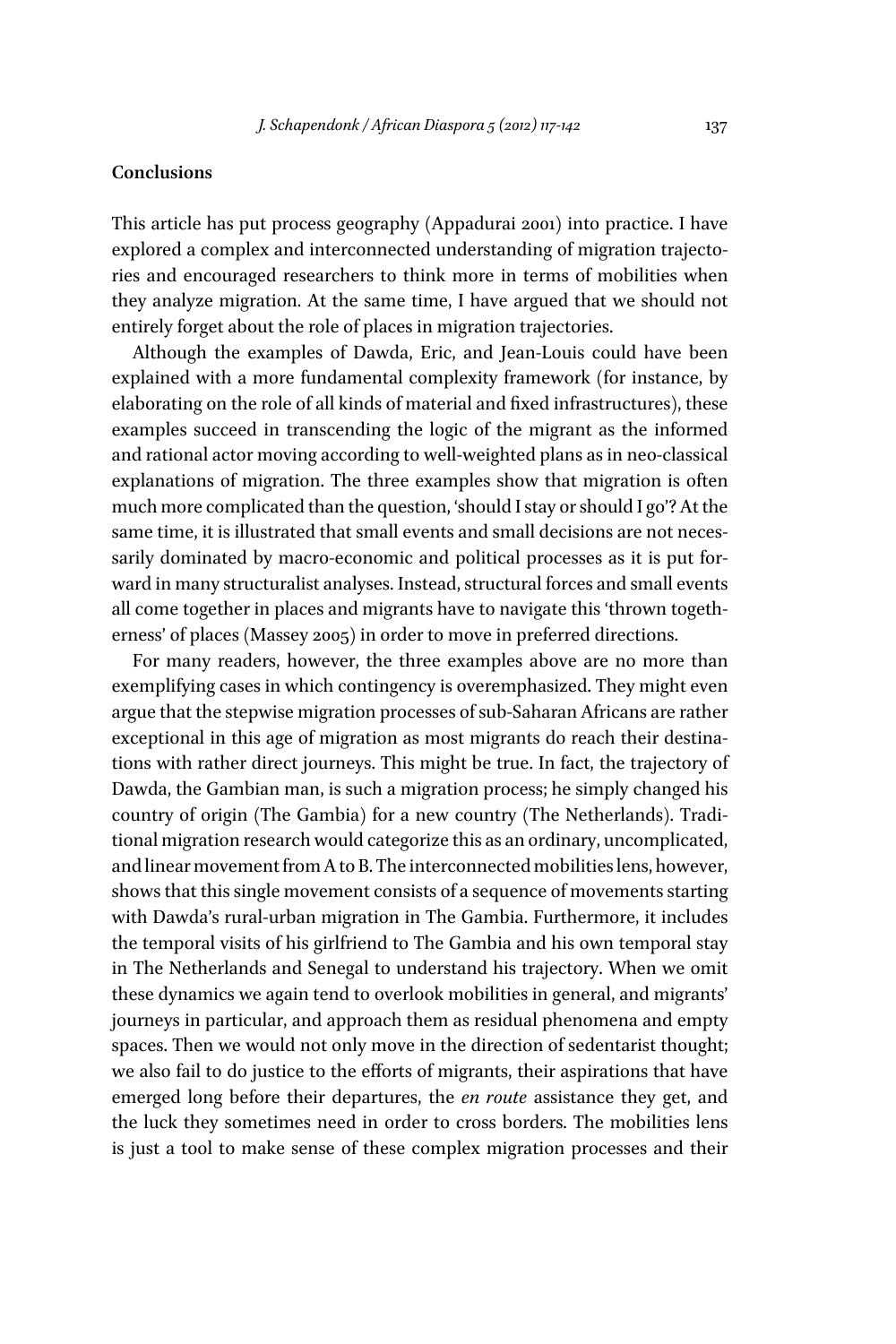# **Conclusions**

This article has put process geography (Appadurai 2001) into practice. I have explored a complex and interconnected understanding of migration trajectories and encouraged researchers to think more in terms of mobilities when they analyze migration. At the same time, I have argued that we should not entirely forget about the role of places in migration trajectories.

Although the examples of Dawda, Eric, and Jean-Louis could have been explained with a more fundamental complexity framework (for instance, by elaborating on the role of all kinds of material and fixed infrastructures), these examples succeed in transcending the logic of the migrant as the informed and rational actor moving according to well-weighted plans as in neo-classical explanations of migration. The three examples show that migration is often much more complicated than the question, 'should I stay or should I go'? At the same time, it is illustrated that small events and small decisions are not necessarily dominated by macro-economic and political processes as it is put forward in many structuralist analyses. Instead, structural forces and small events all come together in places and migrants have to navigate this 'thrown togetherness' of places (Massey 2005) in order to move in preferred directions.

For many readers, however, the three examples above are no more than exemplifying cases in which contingency is overemphasized. They might even argue that the stepwise migration processes of sub-Saharan Africans are rather exceptional in this age of migration as most migrants do reach their destinations with rather direct journeys. This might be true. In fact, the trajectory of Dawda, the Gambian man, is such a migration process; he simply changed his country of origin (The Gambia) for a new country (The Netherlands). Traditional migration research would categorize this as an ordinary, uncomplicated, and linear movement from A to B. The interconnected mobilities lens, however, shows that this single movement consists of a sequence of movements starting with Dawda's rural-urban migration in The Gambia. Furthermore, it includes the temporal visits of his girlfriend to The Gambia and his own temporal stay in The Netherlands and Senegal to understand his trajectory. When we omit these dynamics we again tend to overlook mobilities in general, and migrants' journeys in particular, and approach them as residual phenomena and empty spaces. Then we would not only move in the direction of sedentarist thought; we also fail to do justice to the effforts of migrants, their aspirations that have emerged long before their departures, the *en route* assistance they get, and the luck they sometimes need in order to cross borders. The mobilities lens is just a tool to make sense of these complex migration processes and their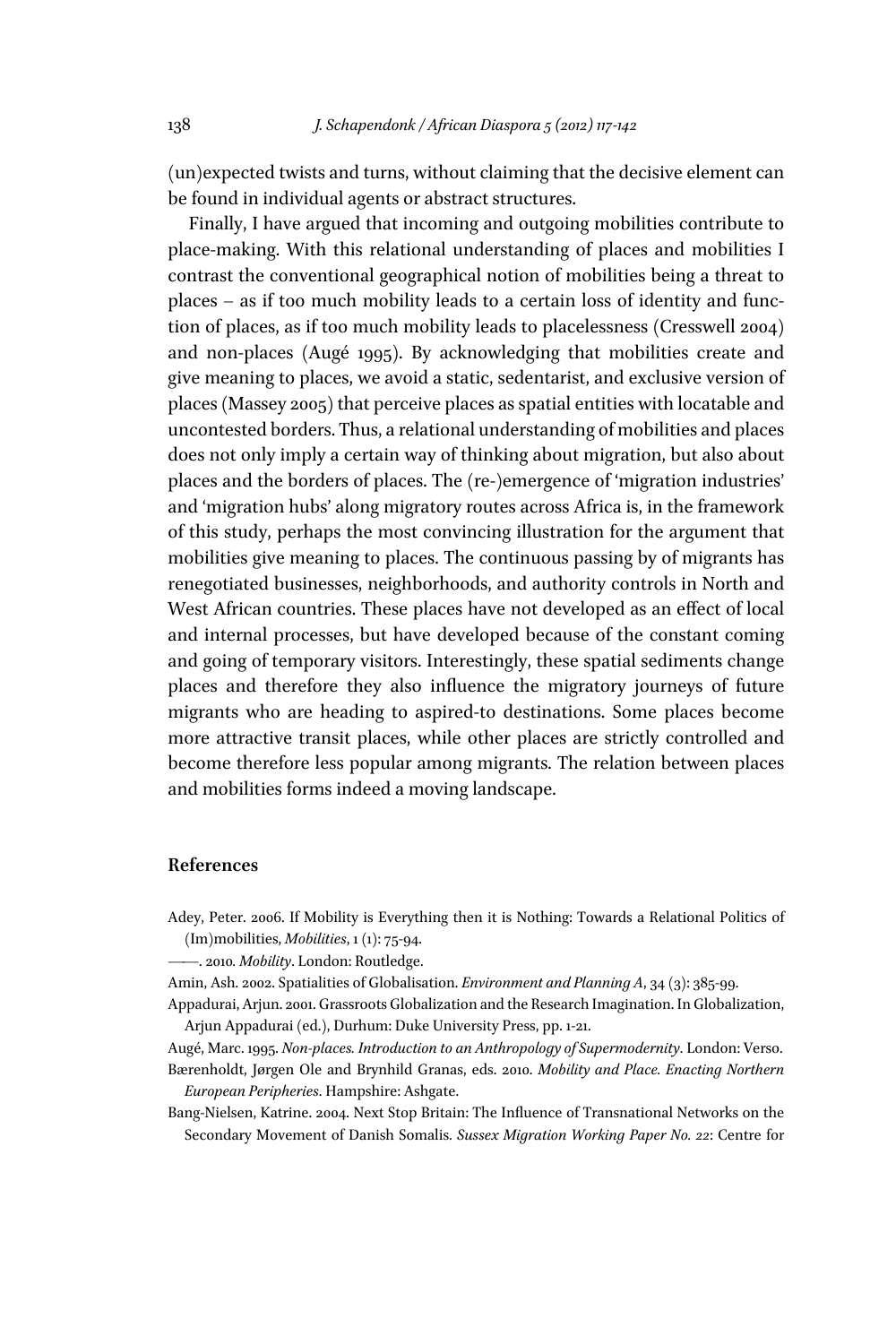(un)expected twists and turns, without claiming that the decisive element can be found in individual agents or abstract structures.

Finally, I have argued that incoming and outgoing mobilities contribute to place-making. With this relational understanding of places and mobilities I contrast the conventional geographical notion of mobilities being a threat to places – as if too much mobility leads to a certain loss of identity and function of places, as if too much mobility leads to placelessness (Cresswell 2004) and non-places (Augé 1995). By acknowledging that mobilities create and give meaning to places, we avoid a static, sedentarist, and exclusive version of places (Massey 2005) that perceive places as spatial entities with locatable and uncontested borders. Thus, a relational understanding of mobilities and places does not only imply a certain way of thinking about migration, but also about places and the borders of places. The (re-)emergence of 'migration industries' and 'migration hubs' along migratory routes across Africa is, in the framework of this study, perhaps the most convincing illustration for the argument that mobilities give meaning to places. The continuous passing by of migrants has renegotiated businesses, neighborhoods, and authority controls in North and West African countries. These places have not developed as an effect of local and internal processes, but have developed because of the constant coming and going of temporary visitors. Interestingly, these spatial sediments change places and therefore they also influence the migratory journeys of future migrants who are heading to aspired-to destinations. Some places become more attractive transit places, while other places are strictly controlled and become therefore less popular among migrants. The relation between places and mobilities forms indeed a moving landscape.

## **References**

Adey, Peter. 2006. If Mobility is Everything then it is Nothing: Towards a Relational Politics of (Im)mobilities, *Mobilities*, 1 (1): 75-94.

——. 2010*. Mobility*. London: Routledge.

Amin, Ash. 2002. Spatialities of Globalisation. *Environment and Planning A*, 34 (3): 385-99.

Appadurai, Arjun. 2001. Grassroots Globalization and the Research Imagination. In Globalization, Arjun Appadurai (ed.), Durhum: Duke University Press, pp. 1-21.

Augé, Marc. 1995. *Non-places. Introduction to an Anthropology of Supermodernity*. London: Verso. Bærenholdt, Jørgen Ole and Brynhild Granas, eds. 2010. *Mobility and Place. Enacting Northern European Peripheries*. Hampshire: Ashgate.

Bang-Nielsen, Katrine. 2004. Next Stop Britain: The Influence of Transnational Networks on the Secondary Movement of Danish Somalis. *Sussex Migration Working Paper No. 22*: Centre for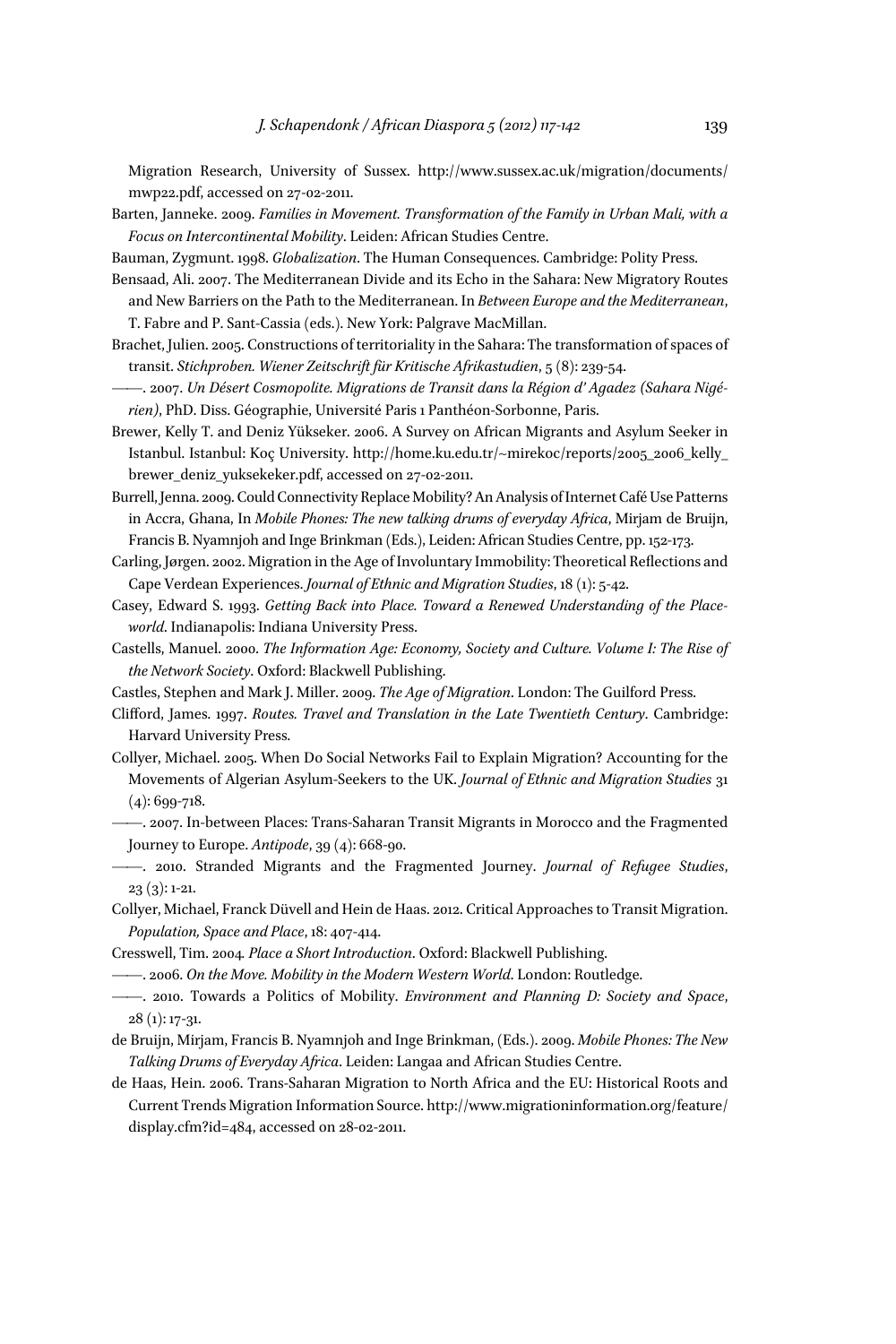Migration Research, University of Sussex. http://www.sussex.ac.uk/migration/documents/ mwp22.pdf, accessed on 27-02-2011.

Barten, Janneke. 2009. *Families in Movement. Transformation of the Family in Urban Mali, with a Focus on Intercontinental Mobility*. Leiden: African Studies Centre.

Bauman, Zygmunt. 1998. *Globalization*. The Human Consequences. Cambridge: Polity Press.

- Bensaad, Ali. 2007. The Mediterranean Divide and its Echo in the Sahara: New Migratory Routes and New Barriers on the Path to the Mediterranean. In *Between Europe and the Mediterranean*, T. Fabre and P. Sant-Cassia (eds.). New York: Palgrave MacMillan.
- Brachet, Julien. 2005. Constructions of territoriality in the Sahara: The transformation of spaces of transit. *Stichproben. Wiener Zeitschrift für Kritische Afrikastudien*, 5 (8): 239-54.
- ——. 2007. *Un Désert Cosmopolite. Migrations de Transit dans la Région d' Agadez (Sahara Nigérien)*, PhD. Diss. Géographie, Université Paris 1 Panthéon-Sorbonne, Paris.
- Brewer, Kelly T. and Deniz Yükseker. 2006. A Survey on African Migrants and Asylum Seeker in Istanbul. Istanbul: Koç University. http://home.ku.edu.tr/~mirekoc/reports/2005\_2006\_kelly\_ brewer\_deniz\_yuksekeker.pdf, accessed on 27-02-2011.
- Burrell, Jenna. 2009. Could Connectivity Replace Mobility? An Analysis of Internet Café Use Patterns in Accra, Ghana, In *Mobile Phones: The new talking drums of everyday Africa*, Mirjam de Bruijn, Francis B. Nyamnjoh and Inge Brinkman (Eds.), Leiden: African Studies Centre, pp. 152-173.
- Carling, Jørgen. 2002. Migration in the Age of Involuntary Immobility: Theoretical Reflections and Cape Verdean Experiences. *Journal of Ethnic and Migration Studies*, 18 (1): 5-42.
- Casey, Edward S. 1993. *Getting Back into Place. Toward a Renewed Understanding of the Placeworld*. Indianapolis: Indiana University Press.
- Castells, Manuel. 2000. *The Information Age: Economy, Society and Culture. Volume I: The Rise of the Network Society*. Oxford: Blackwell Publishing.
- Castles, Stephen and Mark J. Miller. 2009. *The Age of Migration*. London: The Guilford Press.
- Cliffford, James. 1997. *Routes. Travel and Translation in the Late Twentieth Century*. Cambridge: Harvard University Press.

Collyer, Michael. 2005. When Do Social Networks Fail to Explain Migration? Accounting for the Movements of Algerian Asylum-Seekers to the UK. *Journal of Ethnic and Migration Studies* 31 (4): 699-718.

- ——. 2007. In-between Places: Trans-Saharan Transit Migrants in Morocco and the Fragmented Journey to Europe. *Antipode*, 39 (4): 668-90.
- ——. 2010. Stranded Migrants and the Fragmented Journey. *Journal of Refugee Studies*, 23 (3): 1-21.

Collyer, Michael, Franck Düvell and Hein de Haas. 2012. Critical Approaches to Transit Migration. *Population, Space and Place*, 18: 407-414.

- Cresswell, Tim. 2004*. Place a Short Introduction*. Oxford: Blackwell Publishing.
- ——. 2006. *On the Move. Mobility in the Modern Western World*. London: Routledge.
- ——. 2010. Towards a Politics of Mobility. *Environment and Planning D: Society and Space*, 28 (1): 17-31.
- de Bruijn, Mirjam, Francis B. Nyamnjoh and Inge Brinkman, (Eds.). 2009. *Mobile Phones: The New Talking Drums of Everyday Africa*. Leiden: Langaa and African Studies Centre.
- de Haas, Hein. 2006. Trans-Saharan Migration to North Africa and the EU: Historical Roots and Current Trends Migration Information Source. http://www.migrationinformation.org/feature/ display.cfm?id=484, accessed on 28-02-2011.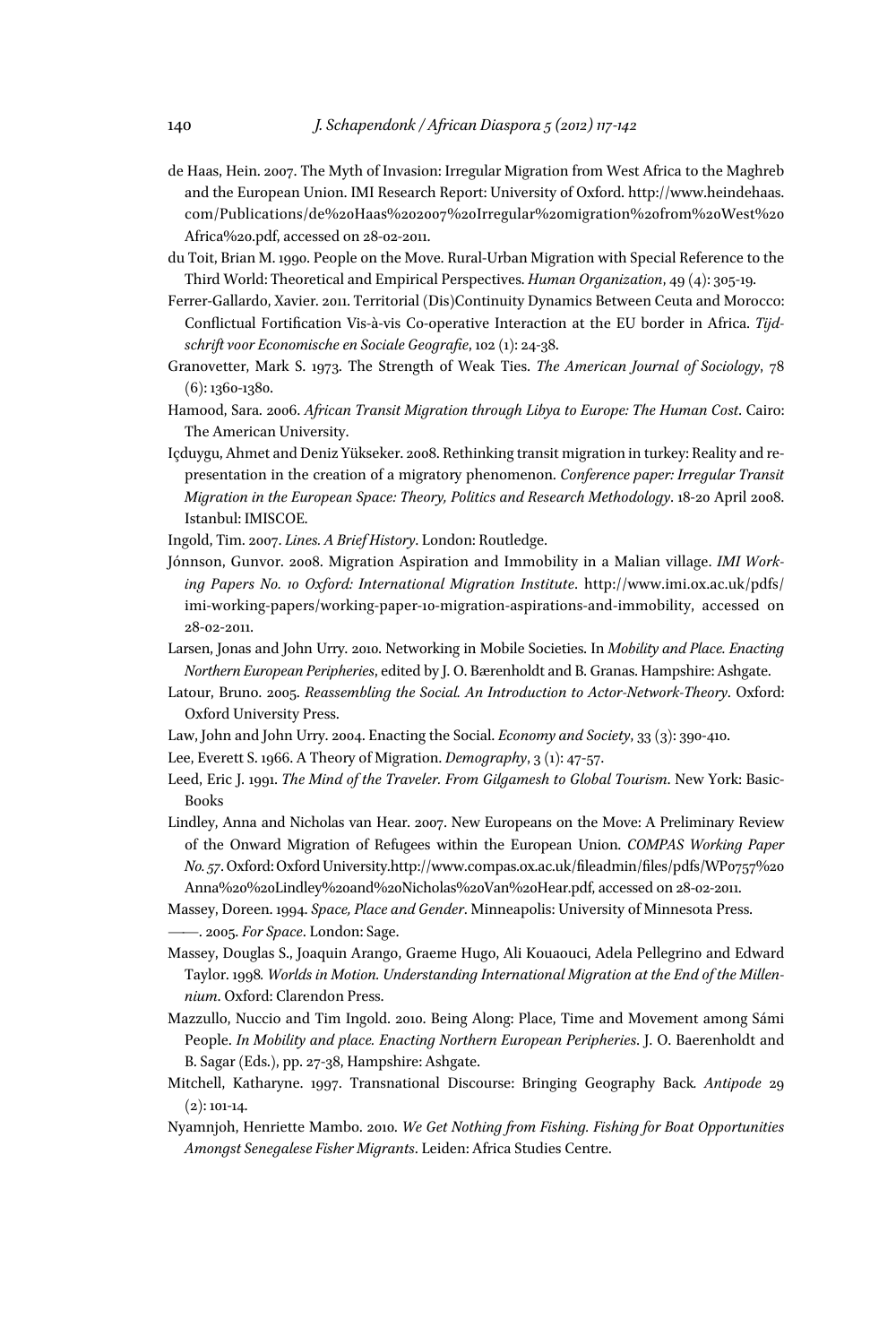- de Haas, Hein. 2007. The Myth of Invasion: Irregular Migration from West Africa to the Maghreb and the European Union. IMI Research Report: University of Oxford. http://www.heindehaas. com/Publications/de%20Haas%202007%20Irregular%20migration%20from%20West%20 Africa%20.pdf, accessed on 28-02-2011.
- du Toit, Brian M. 1990. People on the Move. Rural-Urban Migration with Special Reference to the Third World: Theoretical and Empirical Perspectives. *Human Organization*, 49 (4): 305-19.
- Ferrer-Gallardo, Xavier. 2011. Territorial (Dis)Continuity Dynamics Between Ceuta and Morocco: Conflictual Fortification Vis-à-vis Co-operative Interaction at the EU border in Africa. Tijdschrift voor Economische en Sociale Geografie, 102 (1): 24-38.
- Granovetter, Mark S. 1973. The Strength of Weak Ties. *The American Journal of Sociology*, 78 (6): 1360-1380.
- Hamood, Sara. 2006. *African Transit Migration through Libya to Europe: The Human Cost*. Cairo: The American University.
- Içduygu, Ahmet and Deniz Yükseker. 2008. Rethinking transit migration in turkey: Reality and representation in the creation of a migratory phenomenon. *Conference paper: Irregular Transit Migration in the European Space: Theory, Politics and Research Methodology*. 18-20 April 2008. Istanbul: IMISCOE.
- Ingold, Tim. 2007. *Lines. A Brief History*. London: Routledge.
- Jónnson, Gunvor. 2008. Migration Aspiration and Immobility in a Malian village. *IMI Working Papers No. 10 Oxford: International Migration Institute*. http://www.imi.ox.ac.uk/pdfs/ imi-working-papers/working-paper-10-migration-aspirations-and-immobility, accessed on 28-02-2011.
- Larsen, Jonas and John Urry. 2010. Networking in Mobile Societies. In *Mobility and Place. Enacting Northern European Peripheries*, edited by J. O. Bærenholdt and B. Granas. Hampshire: Ashgate.
- Latour, Bruno. 2005. *Reassembling the Social. An Introduction to Actor-Network-Theory*. Oxford: Oxford University Press.
- Law, John and John Urry. 2004. Enacting the Social. *Economy and Society*, 33 (3): 390-410.
- Lee, Everett S. 1966. A Theory of Migration. *Demography*, 3 (1): 47-57.
- Leed, Eric J. 1991. *The Mind of the Traveler. From Gilgamesh to Global Tourism*. New York: Basic-Books
- Lindley, Anna and Nicholas van Hear. 2007. New Europeans on the Move: A Preliminary Review of the Onward Migration of Refugees within the European Union. *COMPAS Working Paper No.* 57. Oxford: Oxford University.http://www.compas.ox.ac.uk/fileadmin/files/pdfs/WP0757%20 Anna%20%20Lindley%20and%20Nicholas%20Van%20Hear.pdf, accessed on 28-02-2011.
- Massey, Doreen. 1994. *Space, Place and Gender*. Minneapolis: University of Minnesota Press. ——. 2005. *For Space*. London: Sage.
- Massey, Douglas S., Joaquin Arango, Graeme Hugo, Ali Kouaouci, Adela Pellegrino and Edward Taylor. 1998*. Worlds in Motion. Understanding International Migration at the End of the Millennium*. Oxford: Clarendon Press.
- Mazzullo, Nuccio and Tim Ingold. 2010. Being Along: Place, Time and Movement among Sámi People. *In Mobility and place. Enacting Northern European Peripheries*. J. O. Baerenholdt and B. Sagar (Eds.), pp. 27-38, Hampshire: Ashgate.
- Mitchell, Katharyne. 1997. Transnational Discourse: Bringing Geography Back*. Antipode* 29  $(2): 101-14.$
- Nyamnjoh, Henriette Mambo. 2010. *We Get Nothing from Fishing. Fishing for Boat Opportunities Amongst Senegalese Fisher Migrants*. Leiden: Africa Studies Centre.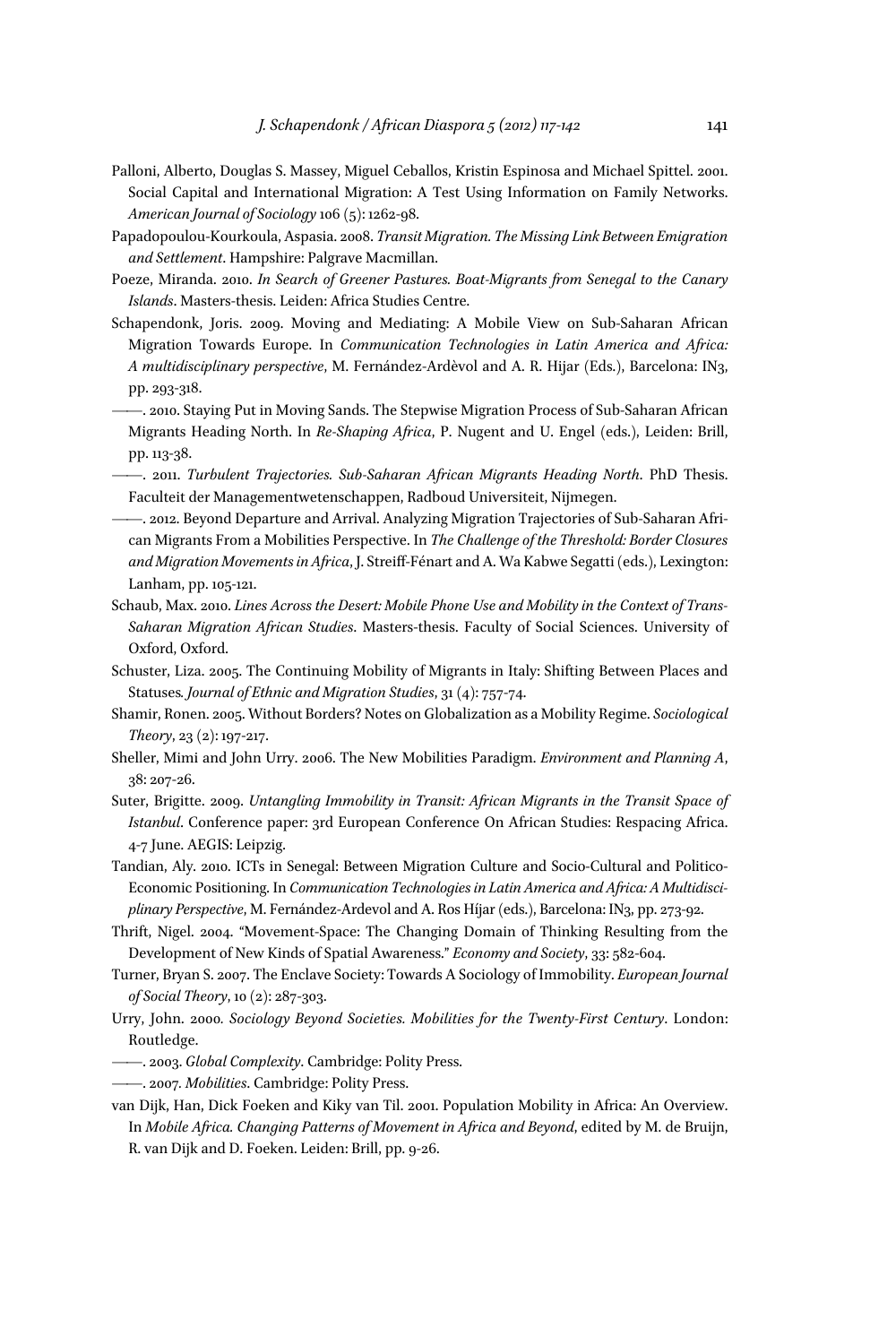- Palloni, Alberto, Douglas S. Massey, Miguel Ceballos, Kristin Espinosa and Michael Spittel. 2001. Social Capital and International Migration: A Test Using Information on Family Networks. *American Journal of Sociology* 106 (5): 1262-98.
- Papadopoulou-Kourkoula, Aspasia. 2008. *Transit Migration. The Missing Link Between Emigration and Settlement*. Hampshire: Palgrave Macmillan.
- Poeze, Miranda. 2010. *In Search of Greener Pastures. Boat-Migrants from Senegal to the Canary Islands*. Masters-thesis. Leiden: Africa Studies Centre.
- Schapendonk, Joris. 2009. Moving and Mediating: A Mobile View on Sub-Saharan African Migration Towards Europe. In *Communication Technologies in Latin America and Africa: A multi disciplinary perspective*, M. Fernández-Ardèvol and A. R. Hijar (Eds.), Barcelona: IN3, pp. 293-318.
	- ——. 2010. Staying Put in Moving Sands. The Stepwise Migration Process of Sub-Saharan African Migrants Heading North. In *Re-Shaping Africa*, P. Nugent and U. Engel (eds.), Leiden: Brill, pp. 113-38.
- ——. 2011. *Turbulent Trajectories. Sub-Saharan African Migrants Heading North*. PhD Thesis. Faculteit der Managementwetenschappen, Radboud Universiteit, Nijmegen.
- ——. 2012. Beyond Departure and Arrival. Analyzing Migration Trajectories of Sub-Saharan African Migrants From a Mobilities Perspective. In *The Challenge of the Threshold: Border Closures and Migration Movements in Africa*, J. Streifff-Fénart and A. Wa Kabwe Segatti (eds.), Lexington: Lanham, pp. 105-121.
- Schaub, Max. 2010. *Lines Across the Desert: Mobile Phone Use and Mobility in the Context of Trans-Saharan Migration African Studies*. Masters-thesis. Faculty of Social Sciences. University of Oxford, Oxford.
- Schuster, Liza. 2005. The Continuing Mobility of Migrants in Italy: Shifting Between Places and Statuses*. Journal of Ethnic and Migration Studies*, 31 (4): 757-74.
- Shamir, Ronen. 2005. Without Borders? Notes on Globalization as a Mobility Regime. *Sociological Theory*, 23 (2): 197-217.
- Sheller, Mimi and John Urry. 2006. The New Mobilities Paradigm. *Environment and Planning A*, 38: 207-26.
- Suter, Brigitte. 2009. *Untangling Immobility in Transit: African Migrants in the Transit Space of Istanbul*. Conference paper: 3rd European Conference On African Studies: Respacing Africa. 4-7 June. AEGIS: Leipzig.
- Tandian, Aly. 2010. ICTs in Senegal: Between Migration Culture and Socio-Cultural and Politico-Economic Positioning. In *Communication Technologies in Latin America and Africa: A Multidisciplinary Perspective*, M. Fernández-Ardevol and A. Ros Híjar (eds.), Barcelona: IN3, pp. 273-92.
- Thrift, Nigel. 2004. "Movement-Space: The Changing Domain of Thinking Resulting from the Development of New Kinds of Spatial Awareness." *Economy and Society*, 33: 582-604.
- Turner, Bryan S. 2007. The Enclave Society: Towards A Sociology of Immobility. *European Journal of Social Theory*, 10 (2): 287-303.
- Urry, John. 2000*. Sociology Beyond Societies. Mobilities for the Twenty-First Century*. London: Routledge.
- ——. 2003. *Global Complexity*. Cambridge: Polity Press.
- ——. 2007*. Mobilities*. Cambridge: Polity Press.
- van Dijk, Han, Dick Foeken and Kiky van Til. 2001. Population Mobility in Africa: An Overview. In *Mobile Africa. Changing Patterns of Movement in Africa and Beyond*, edited by M. de Bruijn, R. van Dijk and D. Foeken. Leiden: Brill, pp. 9-26.